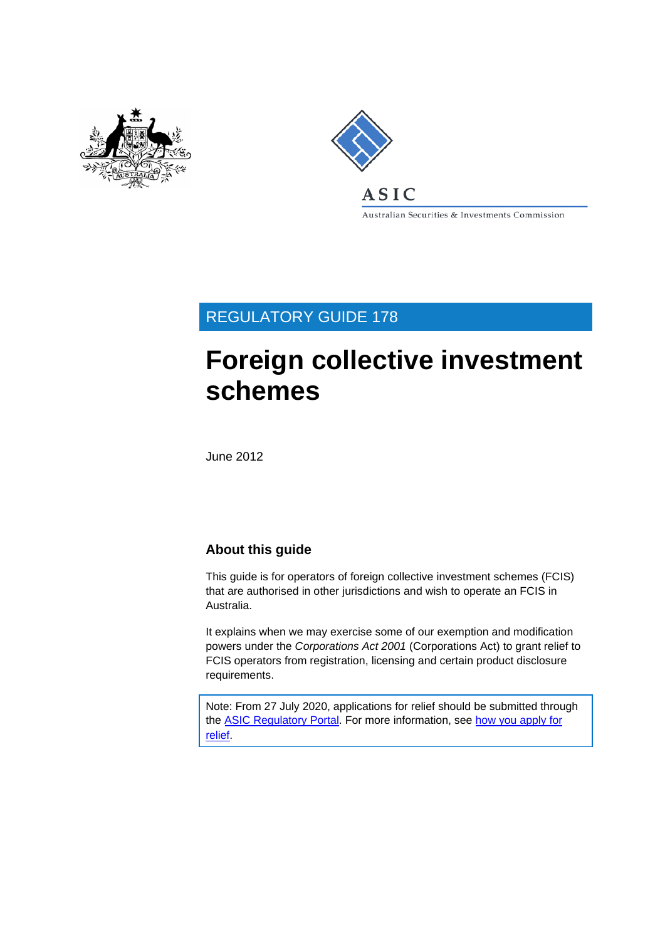



Australian Securities & Investments Commission

## REGULATORY GUIDE 178

# **Foreign collective investment schemes**

June 2012

#### **About this guide**

This guide is for operators of foreign collective investment schemes (FCIS) that are authorised in other jurisdictions and wish to operate an FCIS in Australia.

It explains when we may exercise some of our exemption and modification powers under the *Corporations Act 2001* (Corporations Act) to grant relief to FCIS operators from registration, licensing and certain product disclosure requirements.

Note: From 27 July 2020, applications for relief should be submitted through the [ASIC Regulatory Portal.](https://regulatoryportal.asic.gov.au/) For more information, see how you [apply for](https://asic.gov.au/about-asic/dealing-with-asic/apply-for-relief/changes-to-how-you-apply-for-relief/) [relief.](https://asic.gov.au/about-asic/dealing-with-asic/apply-for-relief/changes-to-how-you-apply-for-relief/)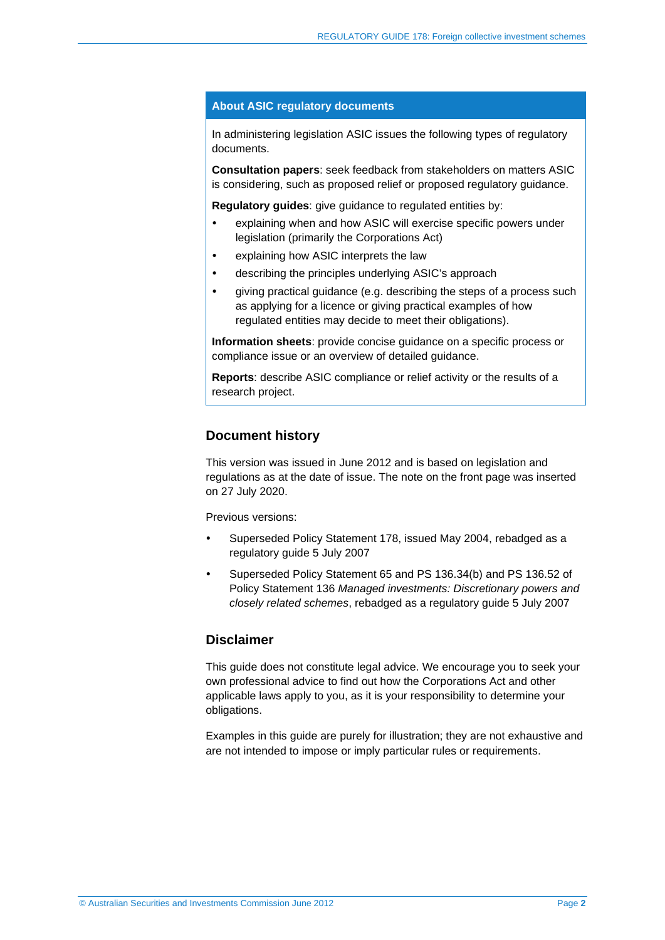#### **About ASIC regulatory documents**

In administering legislation ASIC issues the following types of regulatory documents.

**Consultation papers**: seek feedback from stakeholders on matters ASIC is considering, such as proposed relief or proposed regulatory guidance.

**Regulatory guides**: give guidance to regulated entities by:

- explaining when and how ASIC will exercise specific powers under legislation (primarily the Corporations Act)
- explaining how ASIC interprets the law
- describing the principles underlying ASIC's approach
- giving practical guidance (e.g. describing the steps of a process such as applying for a licence or giving practical examples of how regulated entities may decide to meet their obligations).

**Information sheets**: provide concise guidance on a specific process or compliance issue or an overview of detailed guidance.

**Reports**: describe ASIC compliance or relief activity or the results of a research project.

#### **Document history**

This version was issued in June 2012 and is based on legislation and regulations as at the date of issue. The note on the front page was inserted on 27 July 2020.

Previous versions:

- Superseded Policy Statement 178, issued May 2004, rebadged as a regulatory guide 5 July 2007
- Superseded Policy Statement 65 and PS 136.34(b) and PS 136.52 of Policy Statement 136 *Managed investments: Discretionary powers and closely related schemes*, rebadged as a regulatory guide 5 July 2007

#### **Disclaimer**

This guide does not constitute legal advice. We encourage you to seek your own professional advice to find out how the Corporations Act and other applicable laws apply to you, as it is your responsibility to determine your obligations.

Examples in this guide are purely for illustration; they are not exhaustive and are not intended to impose or imply particular rules or requirements.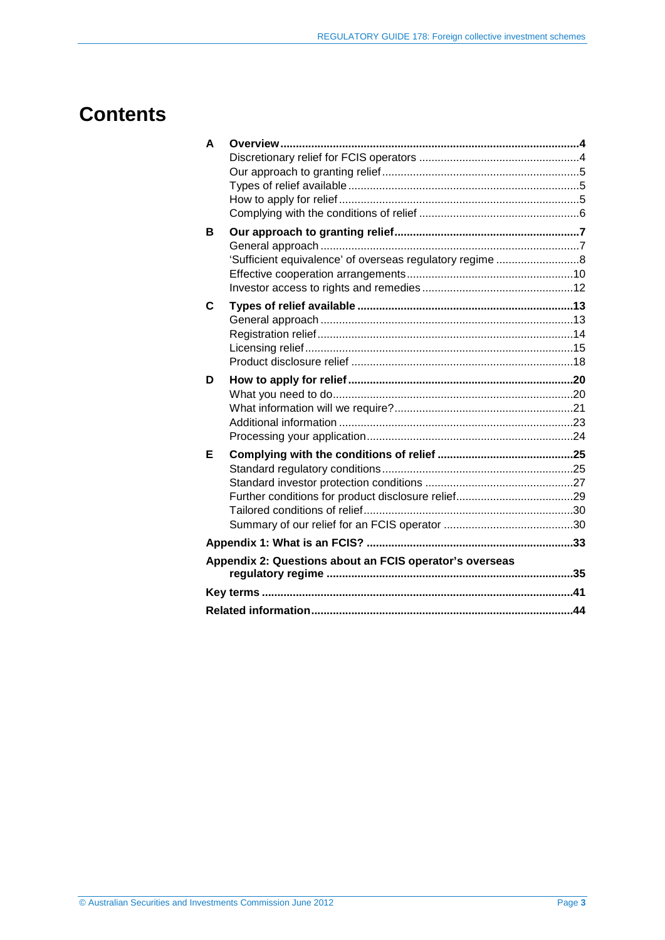## **Contents**

| A |                                                          |  |  |  |
|---|----------------------------------------------------------|--|--|--|
|   |                                                          |  |  |  |
|   |                                                          |  |  |  |
|   |                                                          |  |  |  |
|   |                                                          |  |  |  |
|   |                                                          |  |  |  |
| в |                                                          |  |  |  |
|   |                                                          |  |  |  |
|   | 'Sufficient equivalence' of overseas regulatory regime 8 |  |  |  |
|   |                                                          |  |  |  |
|   |                                                          |  |  |  |
| C |                                                          |  |  |  |
|   |                                                          |  |  |  |
|   |                                                          |  |  |  |
|   |                                                          |  |  |  |
|   |                                                          |  |  |  |
| D |                                                          |  |  |  |
|   |                                                          |  |  |  |
|   |                                                          |  |  |  |
|   |                                                          |  |  |  |
|   |                                                          |  |  |  |
| Е |                                                          |  |  |  |
|   |                                                          |  |  |  |
|   |                                                          |  |  |  |
|   |                                                          |  |  |  |
|   |                                                          |  |  |  |
|   |                                                          |  |  |  |
|   |                                                          |  |  |  |
|   | Appendix 2: Questions about an FCIS operator's overseas  |  |  |  |
|   |                                                          |  |  |  |
|   |                                                          |  |  |  |
|   |                                                          |  |  |  |
|   |                                                          |  |  |  |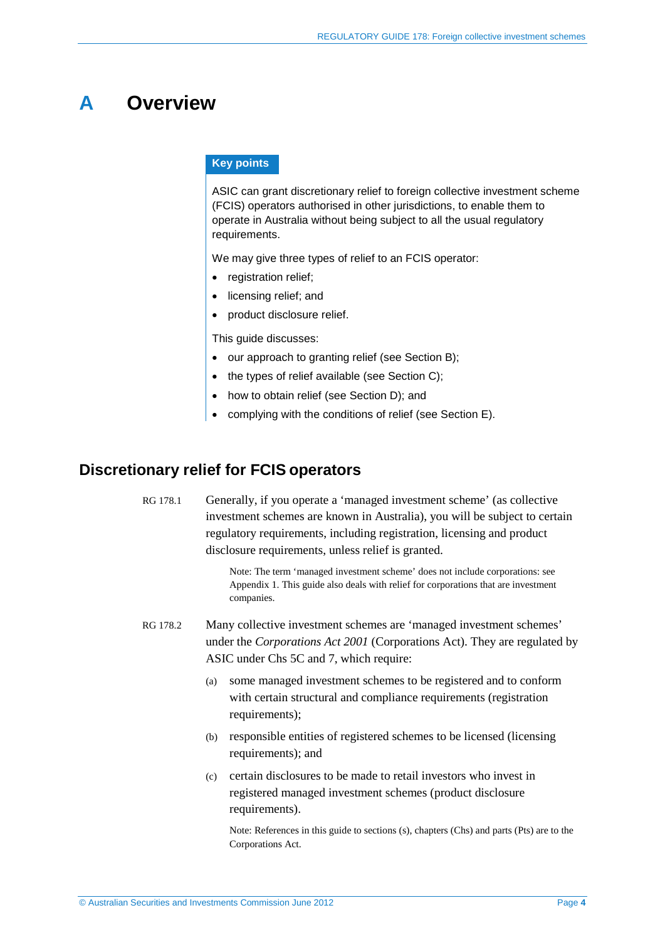## <span id="page-3-0"></span>**A Overview**

#### **Key points**

ASIC can grant discretionary relief to foreign collective investment scheme (FCIS) operators authorised in other jurisdictions, to enable them to operate in Australia without being subject to all the usual regulatory requirements.

We may give three types of relief to an FCIS operator:

- registration relief;
- licensing relief; and
- product disclosure relief.

This guide discusses:

- our approach to granting relief (see Section [B\)](#page-6-0);
- the types of relief available (see Section [C\)](#page-12-0):
- how to obtain relief (see Section [D\)](#page-19-0); and
- complying with the conditions of relief (see Section [E\)](#page-24-0).

## <span id="page-3-1"></span>**Discretionary relief for FCIS operators**

RG 178.1 Generally, if you operate a 'managed investment scheme' (as collective investment schemes are known in Australia), you will be subject to certain regulatory requirements, including registration, licensing and product disclosure requirements, unless relief is granted.

> Note: The term 'managed investment scheme' does not include corporations: see Appendix 1. This guide also deals with relief for corporations that are investment companies.

RG 178.2 Many collective investment schemes are 'managed investment schemes' under the *Corporations Act 2001* (Corporations Act). They are regulated by ASIC under Chs 5C and 7, which require:

- (a) some managed investment schemes to be registered and to conform with certain structural and compliance requirements (registration requirements);
- (b) responsible entities of registered schemes to be licensed (licensing requirements); and
- (c) certain disclosures to be made to retail investors who invest in registered managed investment schemes (product disclosure requirements).

Note: References in this guide to sections (s), chapters (Chs) and parts (Pts) are to the Corporations Act.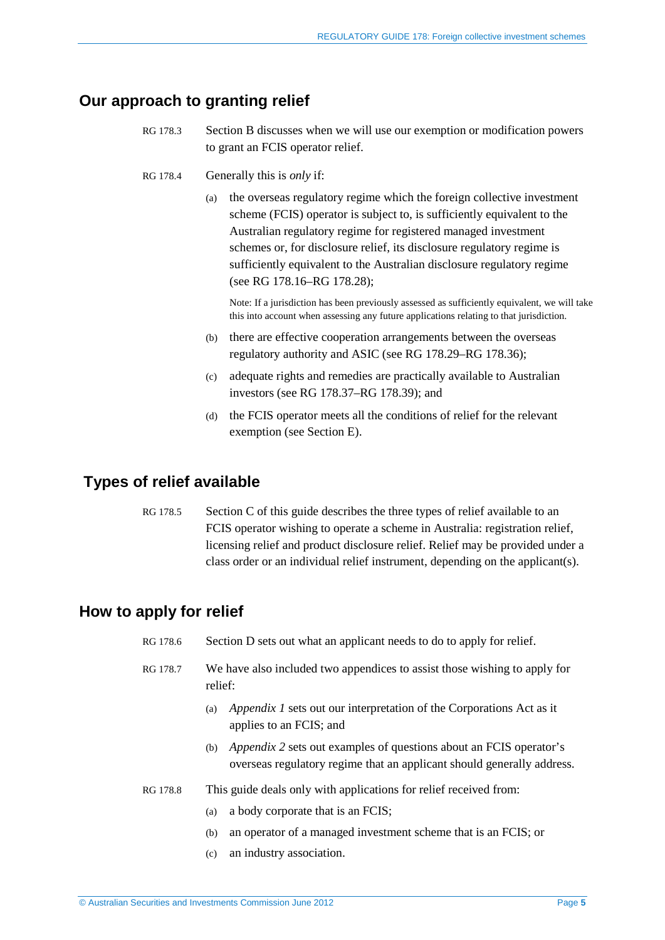## <span id="page-4-0"></span>**Our approach to granting relief**

- RG 178.3 Section B discusses when we will use our exemption or modification powers to grant an FCIS operator relief.
- RG 178.4 Generally this is *only* if:
	- (a) the overseas regulatory regime which the foreign collective investment scheme (FCIS) operator is subject to, is sufficiently equivalent to the Australian regulatory regime for registered managed investment schemes or, for disclosure relief, its disclosure regulatory regime is sufficiently equivalent to the Australian disclosure regulatory regime (see RG [178.16–](#page-7-1)RG [178.28\)](#page-9-1);

Note: If a jurisdiction has been previously assessed as sufficiently equivalent, we will take this into account when assessing any future applications relating to that jurisdiction.

- (b) there are effective cooperation arrangements between the overseas regulatory authority and ASIC (see RG [178.29–](#page-9-2)RG 178.36);
- (c) adequate rights and remedies are practically available to Australian investors (see RG [178.37–](#page-11-1)RG [178.39\)](#page-11-2); and
- (d) the FCIS operator meets all the conditions of relief for the relevant exemption (see Section [E\)](#page-24-0).

## <span id="page-4-1"></span>**Types of relief available**

RG 178.5 Section [C](#page-12-0) of this guide describes the three types of relief available to an FCIS operator wishing to operate a scheme in Australia: registration relief, licensing relief and product disclosure relief. Relief may be provided under a class order or an individual relief instrument, depending on the applicant(s).

## <span id="page-4-2"></span>**How to apply for relief**

- RG 178.6 Section [D](#page-19-0) sets out what an applicant needs to do to apply for relief.
- RG 178.7 We have also included two appendices to assist those wishing to apply for relief:
	- (a) *Appendix 1* sets out our interpretation of the Corporations Act as it applies to an FCIS; and
	- (b) *Appendix 2* sets out examples of questions about an FCIS operator's overseas regulatory regime that an applicant should generally address.
- RG 178.8 This guide deals only with applications for relief received from:
	- (a) a body corporate that is an FCIS;
	- (b) an operator of a managed investment scheme that is an FCIS; or
	- (c) an industry association.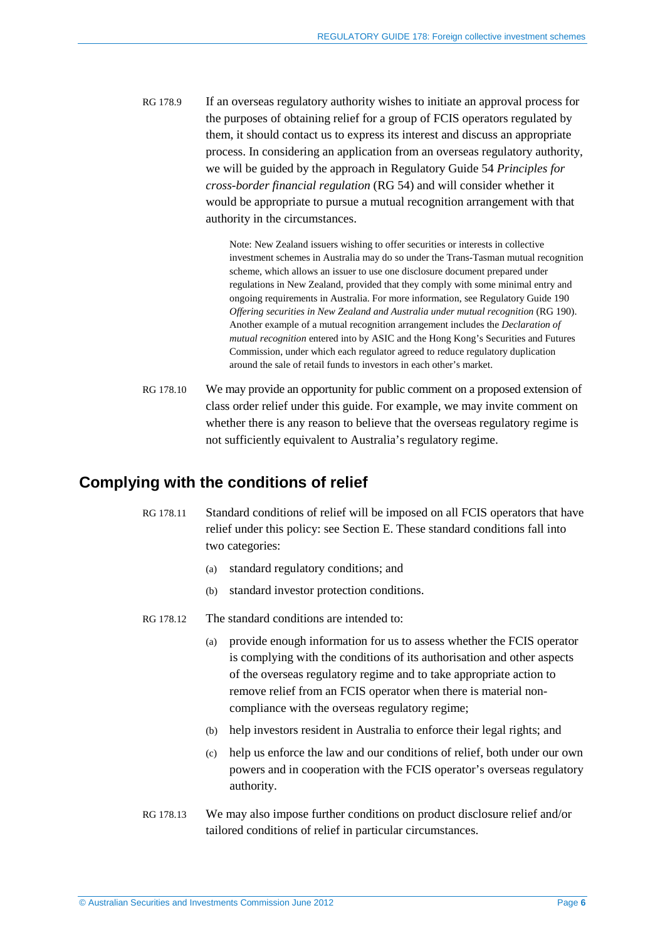RG 178.9 If an overseas regulatory authority wishes to initiate an approval process for the purposes of obtaining relief for a group of FCIS operators regulated by them, it should contact us to express its interest and discuss an appropriate process. In considering an application from an overseas regulatory authority, we will be guided by the approach in Regulatory Guide 54 *Principles for cross-border financial regulation* (RG 54) and will consider whether it would be appropriate to pursue a mutual recognition arrangement with that authority in the circumstances.

> Note: New Zealand issuers wishing to offer securities or interests in collective investment schemes in Australia may do so under the Trans-Tasman mutual recognition scheme, which allows an issuer to use one disclosure document prepared under regulations in New Zealand, provided that they comply with some minimal entry and ongoing requirements in Australia. For more information, see Regulatory Guide 190 *Offering securities in New Zealand and Australia under mutual recognition* (RG 190). Another example of a mutual recognition arrangement includes the *Declaration of mutual recognition* entered into by ASIC and the Hong Kong's Securities and Futures Commission, under which each regulator agreed to reduce regulatory duplication around the sale of retail funds to investors in each other's market.

RG 178.10 We may provide an opportunity for public comment on a proposed extension of class order relief under this guide. For example, we may invite comment on whether there is any reason to believe that the overseas regulatory regime is not sufficiently equivalent to Australia's regulatory regime.

### <span id="page-5-0"></span>**Complying with the conditions of relief**

- RG 178.11 Standard conditions of relief will be imposed on all FCIS operators that have relief under this policy: see Section E. These standard conditions fall into two categories:
	- (a) standard regulatory conditions; and
	- (b) standard investor protection conditions.
- RG 178.12 The standard conditions are intended to:
	- (a) provide enough information for us to assess whether the FCIS operator is complying with the conditions of its authorisation and other aspects of the overseas regulatory regime and to take appropriate action to remove relief from an FCIS operator when there is material noncompliance with the overseas regulatory regime;
	- (b) help investors resident in Australia to enforce their legal rights; and
	- (c) help us enforce the law and our conditions of relief, both under our own powers and in cooperation with the FCIS operator's overseas regulatory authority.
- RG 178.13 We may also impose further conditions on product disclosure relief and/or tailored conditions of relief in particular circumstances.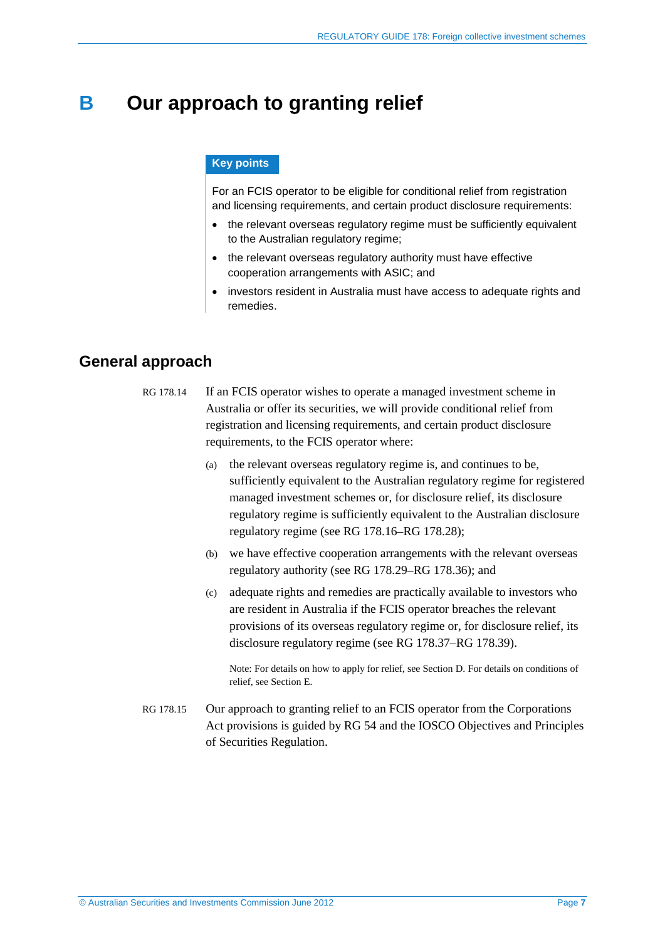## <span id="page-6-3"></span><span id="page-6-0"></span>**B Our approach to granting relief**

#### **Key points**

For an FCIS operator to be eligible for conditional relief from registration and licensing requirements, and certain product disclosure requirements:

- the relevant overseas regulatory regime must be sufficiently equivalent to the Australian regulatory regime;
- the relevant overseas regulatory authority must have effective cooperation arrangements with ASIC; and
- investors resident in Australia must have access to adequate rights and remedies.

### <span id="page-6-2"></span><span id="page-6-1"></span>**General approach**

- RG 178.14 If an FCIS operator wishes to operate a managed investment scheme in Australia or offer its securities, we will provide conditional relief from registration and licensing requirements, and certain product disclosure requirements, to the FCIS operator where:
	- (a) the relevant overseas regulatory regime is, and continues to be, sufficiently equivalent to the Australian regulatory regime for registered managed investment schemes or, for disclosure relief, its disclosure regulatory regime is sufficiently equivalent to the Australian disclosure regulatory regime (see RG [178.16–](#page-7-1)RG [178.28\)](#page-9-1);
	- (b) we have effective cooperation arrangements with the relevant overseas regulatory authority (see RG [178.29–](#page-9-2)RG 178.36); and
	- (c) adequate rights and remedies are practically available to investors who are resident in Australia if the FCIS operator breaches the relevant provisions of its overseas regulatory regime or, for disclosure relief, its disclosure regulatory regime (see RG [178.37–](#page-11-1)RG [178.39\)](#page-11-2).

Note: For details on how to apply for relief, see Section [D.](#page-19-0) For details on conditions of relief, see Section [E.](#page-24-0)

RG 178.15 Our approach to granting relief to an FCIS operator from the Corporations Act provisions is guided by RG 54 and the IOSCO Objectives and Principles of Securities Regulation.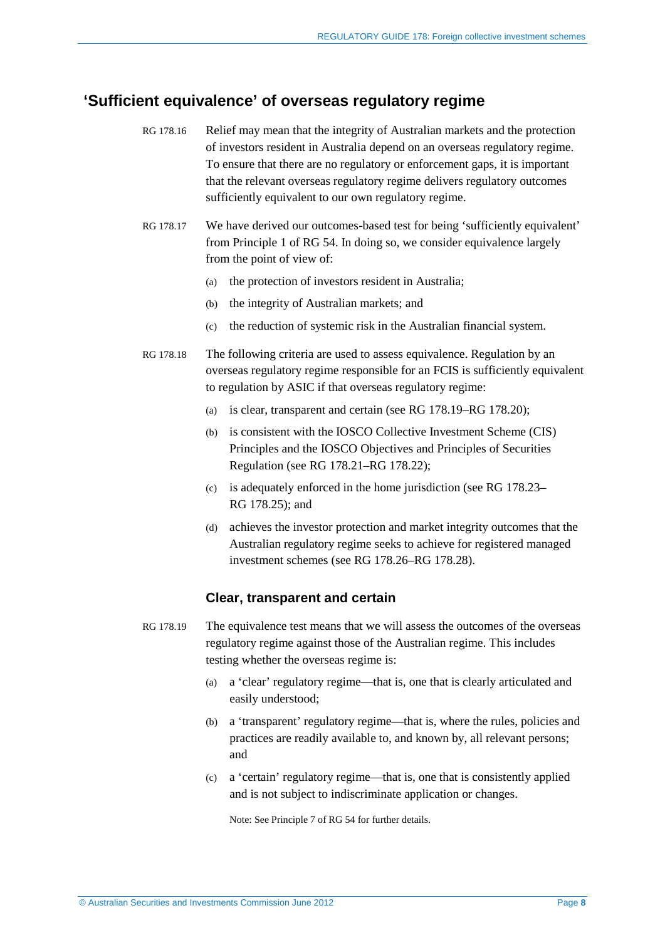### <span id="page-7-1"></span><span id="page-7-0"></span>**'Sufficient equivalence' of overseas regulatory regime**

- RG 178.16 Relief may mean that the integrity of Australian markets and the protection of investors resident in Australia depend on an overseas regulatory regime. To ensure that there are no regulatory or enforcement gaps, it is important that the relevant overseas regulatory regime delivers regulatory outcomes sufficiently equivalent to our own regulatory regime.
- RG 178.17 We have derived our outcomes-based test for being 'sufficiently equivalent' from Principle 1 of RG 54. In doing so, we consider equivalence largely from the point of view of:
	- (a) the protection of investors resident in Australia;
	- (b) the integrity of Australian markets; and
	- (c) the reduction of systemic risk in the Australian financial system.
- <span id="page-7-3"></span>RG 178.18 The following criteria are used to assess equivalence. Regulation by an overseas regulatory regime responsible for an FCIS is sufficiently equivalent to regulation by ASIC if that overseas regulatory regime:
	- (a) is clear, transparent and certain (see RG [178.19–](#page-7-2)RG [178.20\)](#page-8-0);
	- (b) is consistent with the IOSCO Collective Investment Scheme (CIS) Principles and the IOSCO Objectives and Principles of Securities Regulation (see RG 178.21–RG 178.22);
	- (c) is adequately enforced in the home jurisdiction (see RG [178.23–](#page-8-1) RG [178.25\)](#page-9-3); and
	- (d) achieves the investor protection and market integrity outcomes that the Australian regulatory regime seeks to achieve for registered managed investment schemes (see RG [178.26–](#page-9-4)RG [178.28\)](#page-9-1).

#### **Clear, transparent and certain**

- <span id="page-7-2"></span>RG 178.19 The equivalence test means that we will assess the outcomes of the overseas regulatory regime against those of the Australian regime. This includes testing whether the overseas regime is:
	- (a) a 'clear' regulatory regime—that is, one that is clearly articulated and easily understood;
	- (b) a 'transparent' regulatory regime—that is, where the rules, policies and practices are readily available to, and known by, all relevant persons; and
	- (c) a 'certain' regulatory regime—that is, one that is consistently applied and is not subject to indiscriminate application or changes.

Note: See Principle 7 of RG 54 for further details.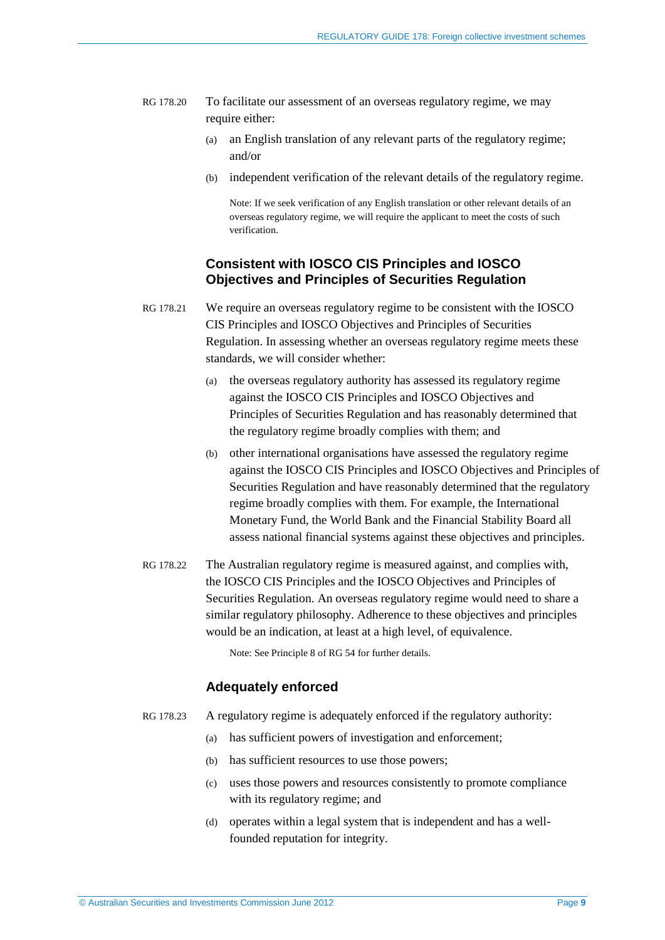- <span id="page-8-0"></span>RG 178.20 To facilitate our assessment of an overseas regulatory regime, we may require either:
	- (a) an English translation of any relevant parts of the regulatory regime; and/or
	- (b) independent verification of the relevant details of the regulatory regime.

Note: If we seek verification of any English translation or other relevant details of an overseas regulatory regime, we will require the applicant to meet the costs of such verification.

#### **Consistent with IOSCO CIS Principles and IOSCO Objectives and Principles of Securities Regulation**

- RG 178.21 We require an overseas regulatory regime to be consistent with the IOSCO CIS Principles and IOSCO Objectives and Principles of Securities Regulation. In assessing whether an overseas regulatory regime meets these standards, we will consider whether:
	- (a) the overseas regulatory authority has assessed its regulatory regime against the IOSCO CIS Principles and IOSCO Objectives and Principles of Securities Regulation and has reasonably determined that the regulatory regime broadly complies with them; and
	- (b) other international organisations have assessed the regulatory regime against the IOSCO CIS Principles and IOSCO Objectives and Principles of Securities Regulation and have reasonably determined that the regulatory regime broadly complies with them. For example, the International Monetary Fund, the World Bank and the Financial Stability Board all assess national financial systems against these objectives and principles.
- RG 178.22 The Australian regulatory regime is measured against, and complies with, the IOSCO CIS Principles and the IOSCO Objectives and Principles of Securities Regulation. An overseas regulatory regime would need to share a similar regulatory philosophy. Adherence to these objectives and principles would be an indication, at least at a high level, of equivalence.

Note: See Principle 8 of RG 54 for further details.

#### **Adequately enforced**

- <span id="page-8-1"></span>RG 178.23 A regulatory regime is adequately enforced if the regulatory authority:
	- (a) has sufficient powers of investigation and enforcement;
	- (b) has sufficient resources to use those powers;
	- (c) uses those powers and resources consistently to promote compliance with its regulatory regime; and
	- (d) operates within a legal system that is independent and has a wellfounded reputation for integrity.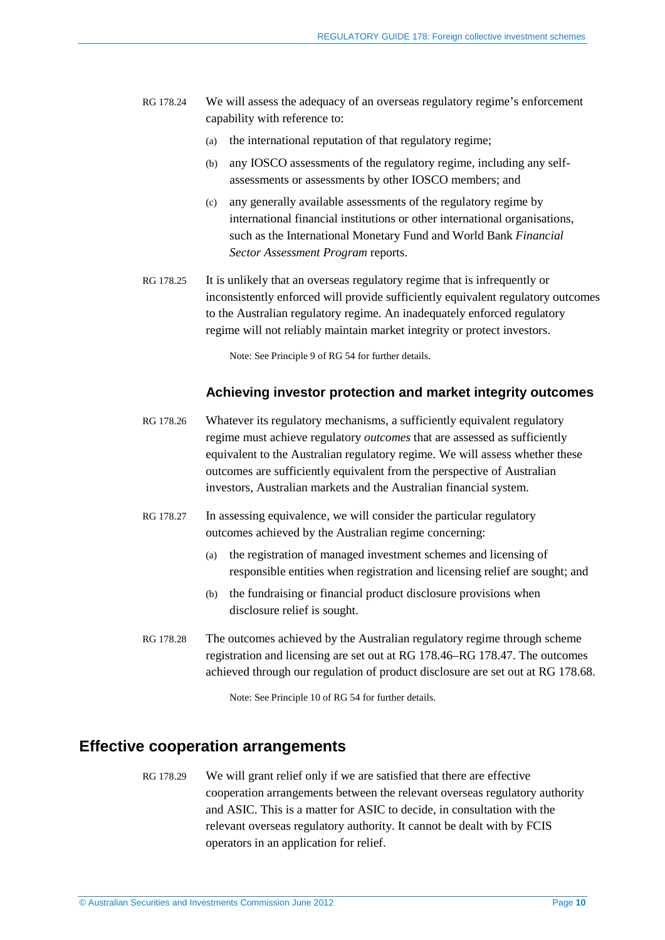- RG 178.24 We will assess the adequacy of an overseas regulatory regime's enforcement capability with reference to:
	- (a) the international reputation of that regulatory regime;
	- (b) any IOSCO assessments of the regulatory regime, including any selfassessments or assessments by other IOSCO members; and
	- (c) any generally available assessments of the regulatory regime by international financial institutions or other international organisations, such as the International Monetary Fund and World Bank *Financial Sector Assessment Program* reports.
- <span id="page-9-3"></span>RG 178.25 It is unlikely that an overseas regulatory regime that is infrequently or inconsistently enforced will provide sufficiently equivalent regulatory outcomes to the Australian regulatory regime. An inadequately enforced regulatory regime will not reliably maintain market integrity or protect investors.

Note: See Principle 9 of RG 54 for further details.

#### **Achieving investor protection and market integrity outcomes**

- <span id="page-9-4"></span>RG 178.26 Whatever its regulatory mechanisms, a sufficiently equivalent regulatory regime must achieve regulatory *outcomes* that are assessed as sufficiently equivalent to the Australian regulatory regime. We will assess whether these outcomes are sufficiently equivalent from the perspective of Australian investors, Australian markets and the Australian financial system.
- RG 178.27 In assessing equivalence, we will consider the particular regulatory outcomes achieved by the Australian regime concerning:
	- (a) the registration of managed investment schemes and licensing of responsible entities when registration and licensing relief are sought; and
	- (b) the fundraising or financial product disclosure provisions when disclosure relief is sought.
- <span id="page-9-1"></span>RG 178.28 The outcomes achieved by the Australian regulatory regime through scheme registration and licensing are set out at RG [178.46–](#page-13-1)RG [178.47.](#page-14-1) The outcomes achieved through our regulation of product disclosure are set out at RG [178.68.](#page-18-0)

Note: See Principle 10 of RG 54 for further details.

### <span id="page-9-2"></span><span id="page-9-0"></span>**Effective cooperation arrangements**

RG 178.29 We will grant relief only if we are satisfied that there are effective cooperation arrangements between the relevant overseas regulatory authority and ASIC. This is a matter for ASIC to decide, in consultation with the relevant overseas regulatory authority. It cannot be dealt with by FCIS operators in an application for relief.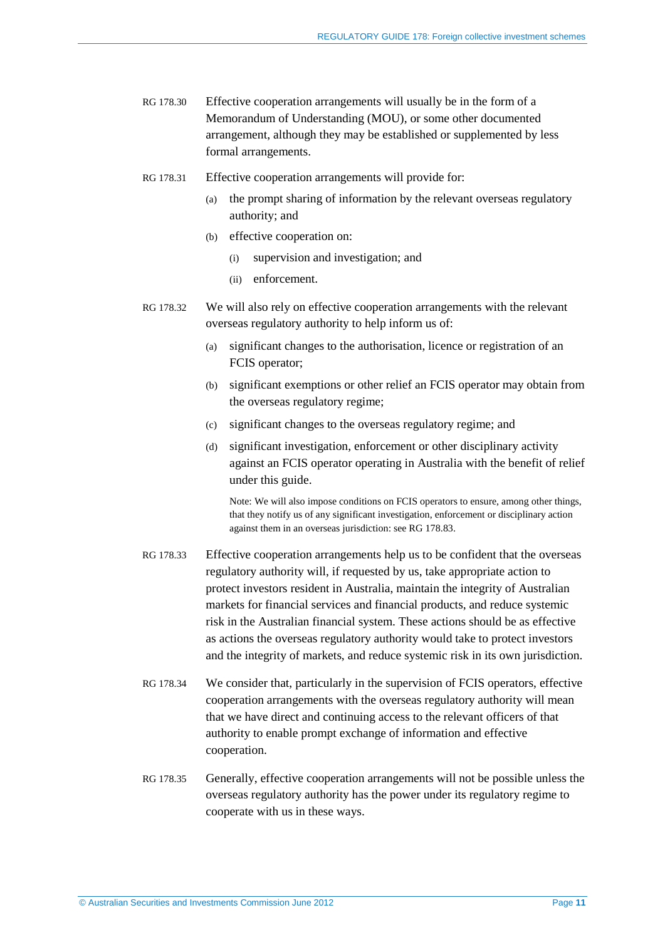- RG 178.30 Effective cooperation arrangements will usually be in the form of a Memorandum of Understanding (MOU), or some other documented arrangement, although they may be established or supplemented by less formal arrangements.
- RG 178.31 Effective cooperation arrangements will provide for:
	- (a) the prompt sharing of information by the relevant overseas regulatory authority; and
	- (b) effective cooperation on:
		- (i) supervision and investigation; and
		- (ii) enforcement.
- RG 178.32 We will also rely on effective cooperation arrangements with the relevant overseas regulatory authority to help inform us of:
	- (a) significant changes to the authorisation, licence or registration of an FCIS operator;
	- (b) significant exemptions or other relief an FCIS operator may obtain from the overseas regulatory regime;
	- (c) significant changes to the overseas regulatory regime; and
	- (d) significant investigation, enforcement or other disciplinary activity against an FCIS operator operating in Australia with the benefit of relief under this guide.

Note: We will also impose conditions on FCIS operators to ensure, among other things, that they notify us of any significant investigation, enforcement or disciplinary action against them in an overseas jurisdiction: see RG [178.83.](#page-24-2)

- RG 178.33 Effective cooperation arrangements help us to be confident that the overseas regulatory authority will, if requested by us, take appropriate action to protect investors resident in Australia, maintain the integrity of Australian markets for financial services and financial products, and reduce systemic risk in the Australian financial system. These actions should be as effective as actions the overseas regulatory authority would take to protect investors and the integrity of markets, and reduce systemic risk in its own jurisdiction.
- RG 178.34 We consider that, particularly in the supervision of FCIS operators, effective cooperation arrangements with the overseas regulatory authority will mean that we have direct and continuing access to the relevant officers of that authority to enable prompt exchange of information and effective cooperation.
- RG 178.35 Generally, effective cooperation arrangements will not be possible unless the overseas regulatory authority has the power under its regulatory regime to cooperate with us in these ways.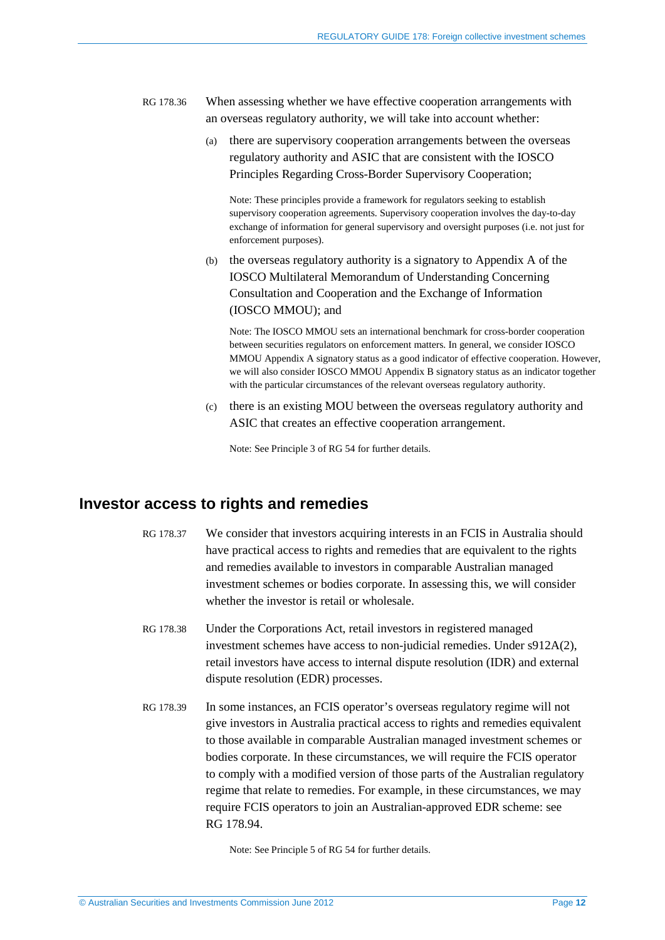- RG 178.36 When assessing whether we have effective cooperation arrangements with an overseas regulatory authority, we will take into account whether:
	- (a) there are supervisory cooperation arrangements between the overseas regulatory authority and ASIC that are consistent with the IOSCO Principles Regarding Cross-Border Supervisory Cooperation;

Note: These principles provide a framework for regulators seeking to establish supervisory cooperation agreements. Supervisory cooperation involves the day-to-day exchange of information for general supervisory and oversight purposes (i.e. not just for enforcement purposes).

(b) the overseas regulatory authority is a signatory to Appendix A of the IOSCO Multilateral Memorandum of Understanding Concerning Consultation and Cooperation and the Exchange of Information (IOSCO MMOU); and

Note: The IOSCO MMOU sets an international benchmark for cross-border cooperation between securities regulators on enforcement matters. In general, we consider IOSCO MMOU Appendix A signatory status as a good indicator of effective cooperation. However, we will also consider IOSCO MMOU Appendix B signatory status as an indicator together with the particular circumstances of the relevant overseas regulatory authority.

(c) there is an existing MOU between the overseas regulatory authority and ASIC that creates an effective cooperation arrangement.

Note: See Principle 3 of RG 54 for further details.

#### <span id="page-11-1"></span><span id="page-11-0"></span>**Investor access to rights and remedies**

- RG 178.37 We consider that investors acquiring interests in an FCIS in Australia should have practical access to rights and remedies that are equivalent to the rights and remedies available to investors in comparable Australian managed investment schemes or bodies corporate. In assessing this, we will consider whether the investor is retail or wholesale.
- RG 178.38 Under the Corporations Act, retail investors in registered managed investment schemes have access to non-judicial remedies. Under s912A(2), retail investors have access to internal dispute resolution (IDR) and external dispute resolution (EDR) processes.
- <span id="page-11-2"></span>RG 178.39 In some instances, an FCIS operator's overseas regulatory regime will not give investors in Australia practical access to rights and remedies equivalent to those available in comparable Australian managed investment schemes or bodies corporate. In these circumstances, we will require the FCIS operator to comply with a modified version of those parts of the Australian regulatory regime that relate to remedies. For example, in these circumstances, we may require FCIS operators to join an Australian-approved EDR scheme: see RG [178.94.](#page-28-1)

Note: See Principle 5 of RG 54 for further details.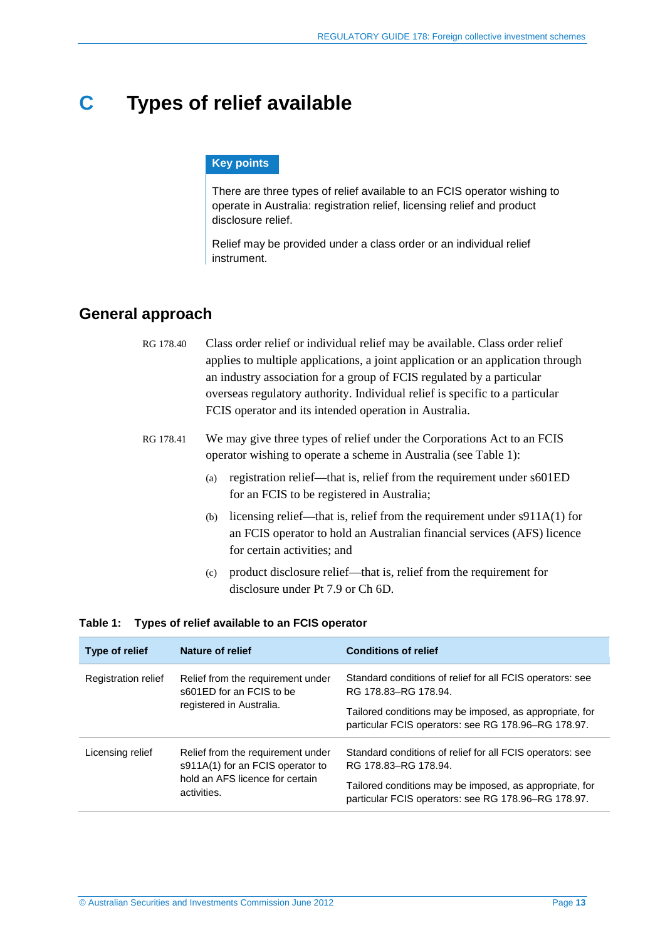## <span id="page-12-0"></span>**C Types of relief available**

#### **Key points**

There are three types of relief available to an FCIS operator wishing to operate in Australia: registration relief, licensing relief and product disclosure relief.

Relief may be provided under a class order or an individual relief instrument.

## <span id="page-12-1"></span>**General approach**

- RG 178.40 Class order relief or individual relief may be available. Class order relief applies to multiple applications, a joint application or an application through an industry association for a group of FCIS regulated by a particular overseas regulatory authority. Individual relief is specific to a particular FCIS operator and its intended operation in Australia.
- RG 178.41 We may give three types of relief under the Corporations Act to an FCIS operator wishing to operate a scheme in Australia (see [Table 1\)](#page-12-2):
	- (a) registration relief—that is, relief from the requirement under s601ED for an FCIS to be registered in Australia;
	- (b) licensing relief—that is, relief from the requirement under s911A(1) for an FCIS operator to hold an Australian financial services (AFS) licence for certain activities; and
	- (c) product disclosure relief—that is, relief from the requirement for disclosure under Pt 7.9 or Ch 6D.

#### <span id="page-12-2"></span>**Table 1: Types of relief available to an FCIS operator**

| Type of relief      | Nature of relief                                                      | <b>Conditions of relief</b>                                                                                    |
|---------------------|-----------------------------------------------------------------------|----------------------------------------------------------------------------------------------------------------|
| Registration relief | Relief from the requirement under<br>s601ED for an FCIS to be         | Standard conditions of relief for all FCIS operators: see<br>RG 178.83-RG 178.94.                              |
|                     | registered in Australia.                                              | Tailored conditions may be imposed, as appropriate, for<br>particular FCIS operators: see RG 178.96–RG 178.97. |
| Licensing relief    | Relief from the requirement under<br>s911A(1) for an FCIS operator to | Standard conditions of relief for all FCIS operators: see<br>RG 178.83-RG 178.94.                              |
|                     | hold an AFS licence for certain<br>activities.                        | Tailored conditions may be imposed, as appropriate, for<br>particular FCIS operators: see RG 178.96-RG 178.97. |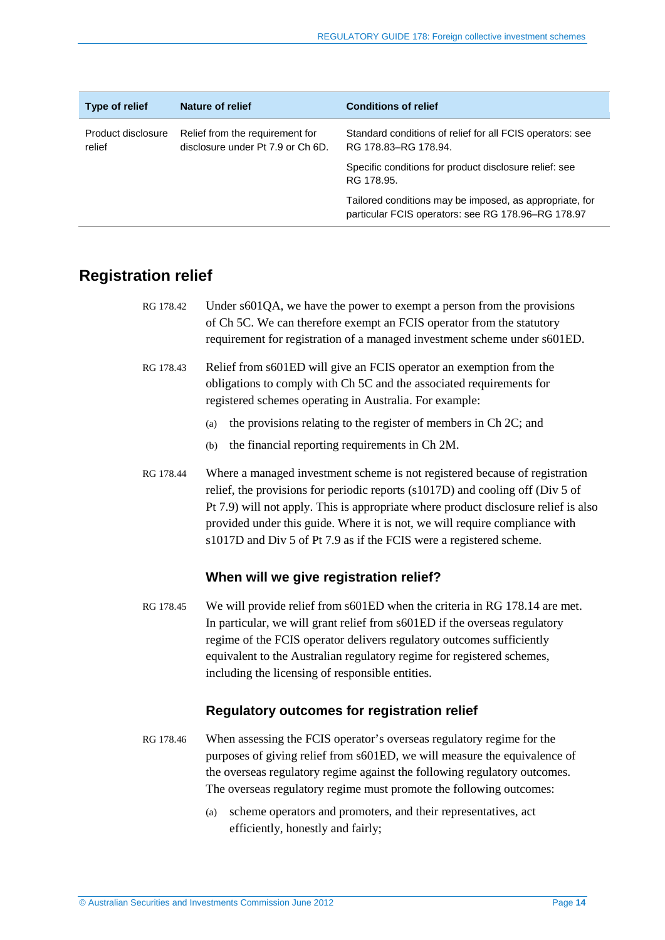| Type of relief               | Nature of relief                                                     | <b>Conditions of relief</b>                                                                                   |
|------------------------------|----------------------------------------------------------------------|---------------------------------------------------------------------------------------------------------------|
| Product disclosure<br>relief | Relief from the requirement for<br>disclosure under Pt 7.9 or Ch 6D. | Standard conditions of relief for all FCIS operators: see<br>RG 178.83-RG 178.94.                             |
|                              |                                                                      | Specific conditions for product disclosure relief: see<br>RG 178.95.                                          |
|                              |                                                                      | Tailored conditions may be imposed, as appropriate, for<br>particular FCIS operators: see RG 178.96-RG 178.97 |

## <span id="page-13-0"></span>**Registration relief**

| RG 178.42 | Under s601QA, we have the power to exempt a person from the provisions    |
|-----------|---------------------------------------------------------------------------|
|           | of Ch 5C. We can therefore exempt an FCIS operator from the statutory     |
|           | requirement for registration of a managed investment scheme under s601ED. |

- RG 178.43 Relief from s601ED will give an FCIS operator an exemption from the obligations to comply with Ch 5C and the associated requirements for registered schemes operating in Australia. For example:
	- (a) the provisions relating to the register of members in Ch 2C; and
	- (b) the financial reporting requirements in Ch 2M.
- RG 178.44 Where a managed investment scheme is not registered because of registration relief, the provisions for periodic reports (s1017D) and cooling off (Div 5 of Pt 7.9) will not apply. This is appropriate where product disclosure relief is also provided under this guide. Where it is not, we will require compliance with s1017D and Div 5 of Pt 7.9 as if the FCIS were a registered scheme.

#### **When will we give registration relief?**

RG 178.45 We will provide relief from s601ED when the criteria in RG [178.14](#page-6-2) are met. In particular, we will grant relief from s601ED if the overseas regulatory regime of the FCIS operator delivers regulatory outcomes sufficiently equivalent to the Australian regulatory regime for registered schemes, including the licensing of responsible entities.

#### **Regulatory outcomes for registration relief**

- <span id="page-13-1"></span>RG 178.46 When assessing the FCIS operator's overseas regulatory regime for the purposes of giving relief from s601ED, we will measure the equivalence of the overseas regulatory regime against the following regulatory outcomes. The overseas regulatory regime must promote the following outcomes:
	- (a) scheme operators and promoters, and their representatives, act efficiently, honestly and fairly;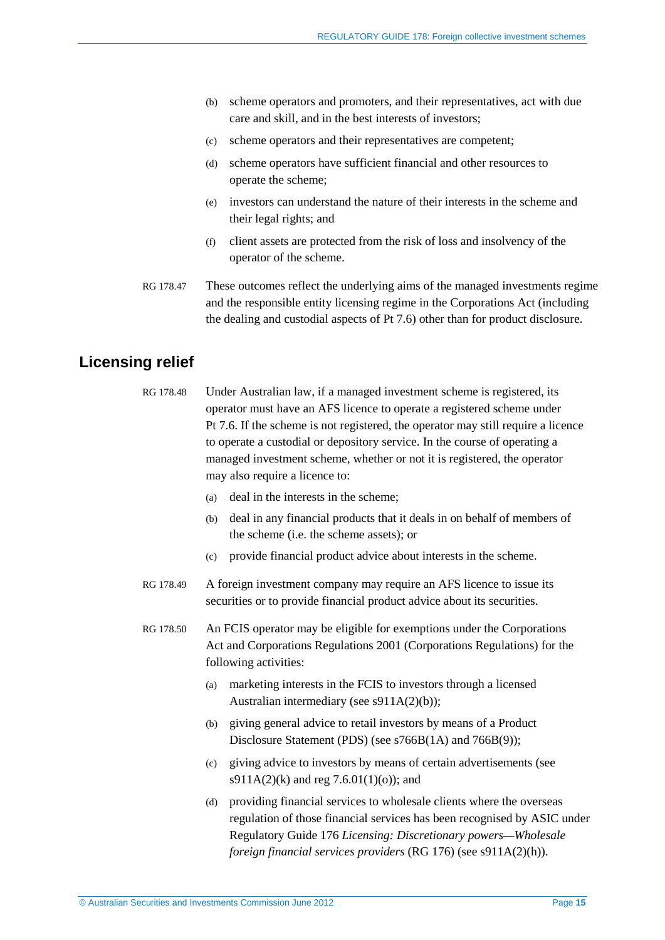- <span id="page-14-3"></span>(b) scheme operators and promoters, and their representatives, act with due care and skill, and in the best interests of investors;
- (c) scheme operators and their representatives are competent;
- (d) scheme operators have sufficient financial and other resources to operate the scheme;
- (e) investors can understand the nature of their interests in the scheme and their legal rights; and
- (f) client assets are protected from the risk of loss and insolvency of the operator of the scheme.
- <span id="page-14-1"></span>RG 178.47 These outcomes reflect the underlying aims of the managed investments regime and the responsible entity licensing regime in the Corporations Act (including the dealing and custodial aspects of Pt 7.6) other than for product disclosure.

## <span id="page-14-0"></span>**Licensing relief**

- RG 178.48 Under Australian law, if a managed investment scheme is registered, its operator must have an AFS licence to operate a registered scheme under Pt 7.6. If the scheme is not registered, the operator may still require a licence to operate a custodial or depository service. In the course of operating a managed investment scheme, whether or not it is registered, the operator may also require a licence to:
	- (a) deal in the interests in the scheme;
	- (b) deal in any financial products that it deals in on behalf of members of the scheme (i.e. the scheme assets); or
	- (c) provide financial product advice about interests in the scheme.
- RG 178.49 A foreign investment company may require an AFS licence to issue its securities or to provide financial product advice about its securities.

<span id="page-14-2"></span>RG 178.50 An FCIS operator may be eligible for exemptions under the Corporations Act and Corporations Regulations 2001 (Corporations Regulations) for the following activities:

- (a) marketing interests in the FCIS to investors through a licensed Australian intermediary (see s911A(2)(b));
- (b) giving general advice to retail investors by means of a Product Disclosure Statement (PDS) (see s766B(1A) and 766B(9));
- (c) giving advice to investors by means of certain advertisements (see s911A(2)(k) and reg 7.6.01(1)(o)); and
- (d) providing financial services to wholesale clients where the overseas regulation of those financial services has been recognised by ASIC under Regulatory Guide 176 *Licensing: Discretionary powers—Wholesale foreign financial services providers* (RG 176) (see s911A(2)(h)).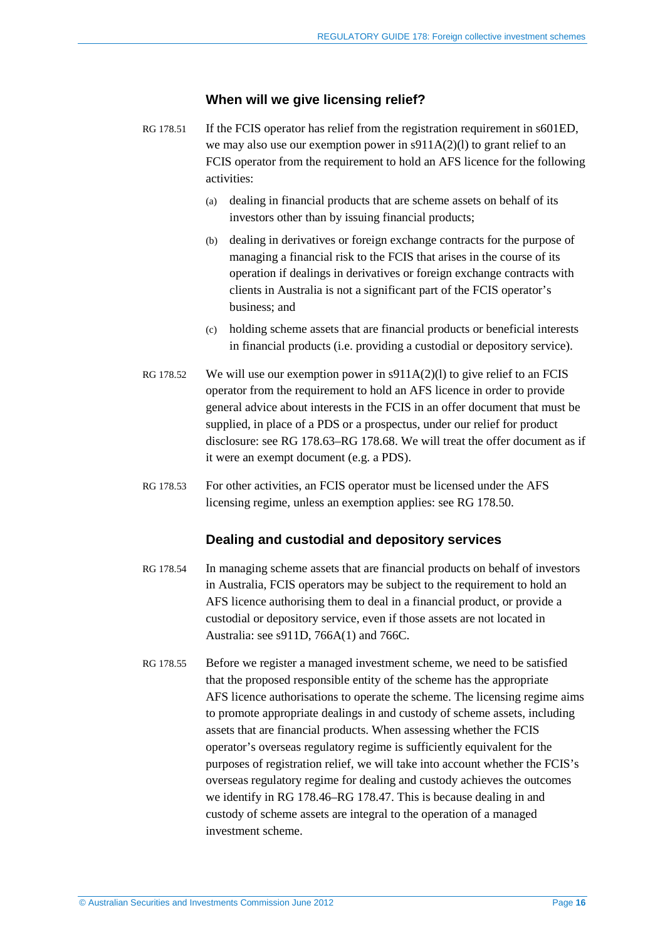#### **When will we give licensing relief?**

- <span id="page-15-0"></span>RG 178.51 If the FCIS operator has relief from the registration requirement in s601ED, we may also use our exemption power in s911A(2)(l) to grant relief to an FCIS operator from the requirement to hold an AFS licence for the following activities:
	- (a) dealing in financial products that are scheme assets on behalf of its investors other than by issuing financial products;
	- (b) dealing in derivatives or foreign exchange contracts for the purpose of managing a financial risk to the FCIS that arises in the course of its operation if dealings in derivatives or foreign exchange contracts with clients in Australia is not a significant part of the FCIS operator's business; and
	- (c) holding scheme assets that are financial products or beneficial interests in financial products (i.e. providing a custodial or depository service).
- RG 178.52 We will use our exemption power in  $\text{S}911A(2)(l)$  to give relief to an FCIS operator from the requirement to hold an AFS licence in order to provide general advice about interests in the FCIS in an offer document that must be supplied, in place of a PDS or a prospectus, under our relief for product disclosure: see RG [178.63–](#page-17-1)RG [178.68.](#page-18-0) We will treat the offer document as if it were an exempt document (e.g. a PDS).
- RG 178.53 For other activities, an FCIS operator must be licensed under the AFS licensing regime, unless an exemption applies: see RG [178.50.](#page-14-2)

#### **Dealing and custodial and depository services**

- RG 178.54 In managing scheme assets that are financial products on behalf of investors in Australia, FCIS operators may be subject to the requirement to hold an AFS licence authorising them to deal in a financial product, or provide a custodial or depository service, even if those assets are not located in Australia: see s911D, 766A(1) and 766C.
- RG 178.55 Before we register a managed investment scheme, we need to be satisfied that the proposed responsible entity of the scheme has the appropriate AFS licence authorisations to operate the scheme. The licensing regime aims to promote appropriate dealings in and custody of scheme assets, including assets that are financial products. When assessing whether the FCIS operator's overseas regulatory regime is sufficiently equivalent for the purposes of registration relief, we will take into account whether the FCIS's overseas regulatory regime for dealing and custody achieves the outcomes we identify in RG [178.46–](#page-13-1)RG [178.47.](#page-14-1) This is because dealing in and custody of scheme assets are integral to the operation of a managed investment scheme.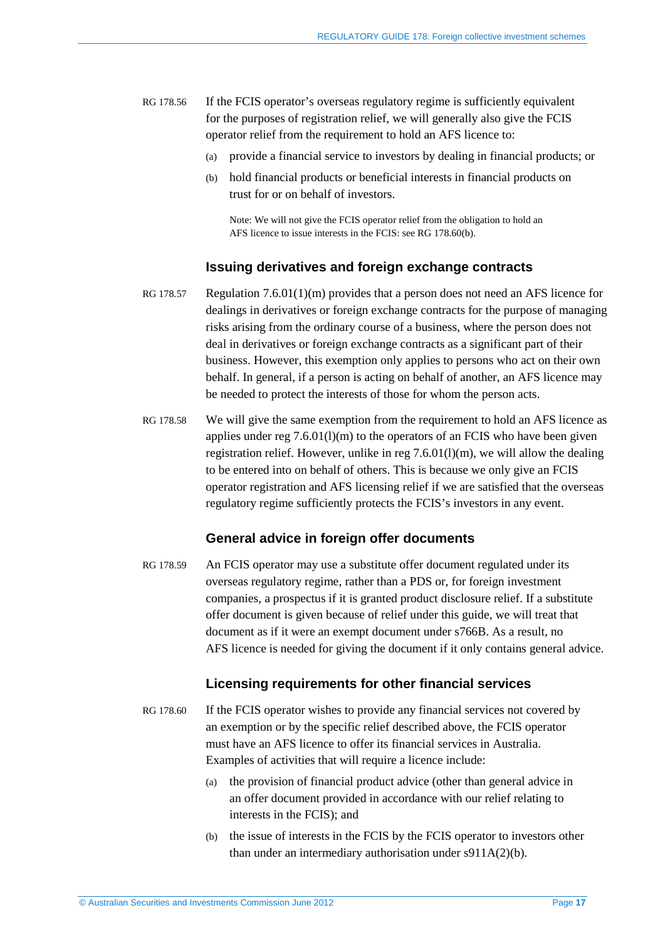- <span id="page-16-2"></span><span id="page-16-1"></span>RG 178.56 If the FCIS operator's overseas regulatory regime is sufficiently equivalent for the purposes of registration relief, we will generally also give the FCIS operator relief from the requirement to hold an AFS licence to:
	- (a) provide a financial service to investors by dealing in financial products; or
	- (b) hold financial products or beneficial interests in financial products on trust for or on behalf of investors.

Note: We will not give the FCIS operator relief from the obligation to hold an AFS licence to issue interests in the FCIS: see RG [178.60\(b\).](#page-16-0)

#### **Issuing derivatives and foreign exchange contracts**

- RG 178.57 Regulation 7.6.01(1)(m) provides that a person does not need an AFS licence for dealings in derivatives or foreign exchange contracts for the purpose of managing risks arising from the ordinary course of a business, where the person does not deal in derivatives or foreign exchange contracts as a significant part of their business. However, this exemption only applies to persons who act on their own behalf. In general, if a person is acting on behalf of another, an AFS licence may be needed to protect the interests of those for whom the person acts.
- RG 178.58 We will give the same exemption from the requirement to hold an AFS licence as applies under reg  $7.6.01(1)(m)$  to the operators of an FCIS who have been given registration relief. However, unlike in reg 7.6.01(l)(m), we will allow the dealing to be entered into on behalf of others. This is because we only give an FCIS operator registration and AFS licensing relief if we are satisfied that the overseas regulatory regime sufficiently protects the FCIS's investors in any event.

#### **General advice in foreign offer documents**

RG 178.59 An FCIS operator may use a substitute offer document regulated under its overseas regulatory regime, rather than a PDS or, for foreign investment companies, a prospectus if it is granted product disclosure relief. If a substitute offer document is given because of relief under this guide, we will treat that document as if it were an exempt document under s766B. As a result, no AFS licence is needed for giving the document if it only contains general advice.

#### **Licensing requirements for other financial services**

- <span id="page-16-0"></span>RG 178.60 If the FCIS operator wishes to provide any financial services not covered by an exemption or by the specific relief described above, the FCIS operator must have an AFS licence to offer its financial services in Australia. Examples of activities that will require a licence include:
	- (a) the provision of financial product advice (other than general advice in an offer document provided in accordance with our relief relating to interests in the FCIS); and
	- (b) the issue of interests in the FCIS by the FCIS operator to investors other than under an intermediary authorisation under s911A(2)(b).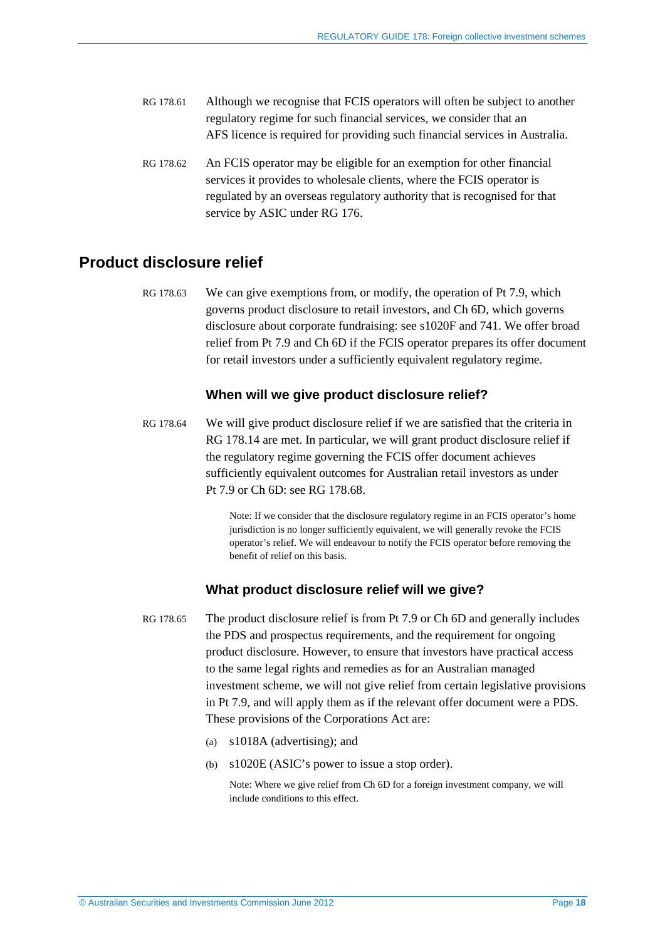- RG 178.61 Although we recognise that FCIS operators will often be subject to another regulatory regime for such financial services, we consider that an AFS licence is required for providing such financial services in Australia.
- RG 178.62 An FCIS operator may be eligible for an exemption for other financial services it provides to wholesale clients, where the FCIS operator is regulated by an overseas regulatory authority that is recognised for that service by ASIC under RG 176.

### <span id="page-17-1"></span><span id="page-17-0"></span>**Product disclosure relief**

RG 178.63 We can give exemptions from, or modify, the operation of Pt 7.9, which governs product disclosure to retail investors, and Ch 6D, which governs disclosure about corporate fundraising: see s1020F and 741. We offer broad relief from Pt 7.9 and Ch 6D if the FCIS operator prepares its offer document for retail investors under a sufficiently equivalent regulatory regime.

#### **When will we give product disclosure relief?**

RG 178.64 We will give product disclosure relief if we are satisfied that the criteria in RG [178.14](#page-6-2) are met. In particular, we will grant product disclosure relief if the regulatory regime governing the FCIS offer document achieves sufficiently equivalent outcomes for Australian retail investors as under Pt 7.9 or Ch 6D: see RG [178.68.](#page-18-0)

> Note: If we consider that the disclosure regulatory regime in an FCIS operator's home jurisdiction is no longer sufficiently equivalent, we will generally revoke the FCIS operator's relief. We will endeavour to notify the FCIS operator before removing the benefit of relief on this basis.

#### **What product disclosure relief will we give?**

- RG 178.65 The product disclosure relief is from Pt 7.9 or Ch 6D and generally includes the PDS and prospectus requirements, and the requirement for ongoing product disclosure. However, to ensure that investors have practical access to the same legal rights and remedies as for an Australian managed investment scheme, we will not give relief from certain legislative provisions in Pt 7.9, and will apply them as if the relevant offer document were a PDS. These provisions of the Corporations Act are:
	- (a) s1018A (advertising); and
	- (b) s1020E (ASIC's power to issue a stop order).

Note: Where we give relief from Ch 6D for a foreign investment company, we will include conditions to this effect.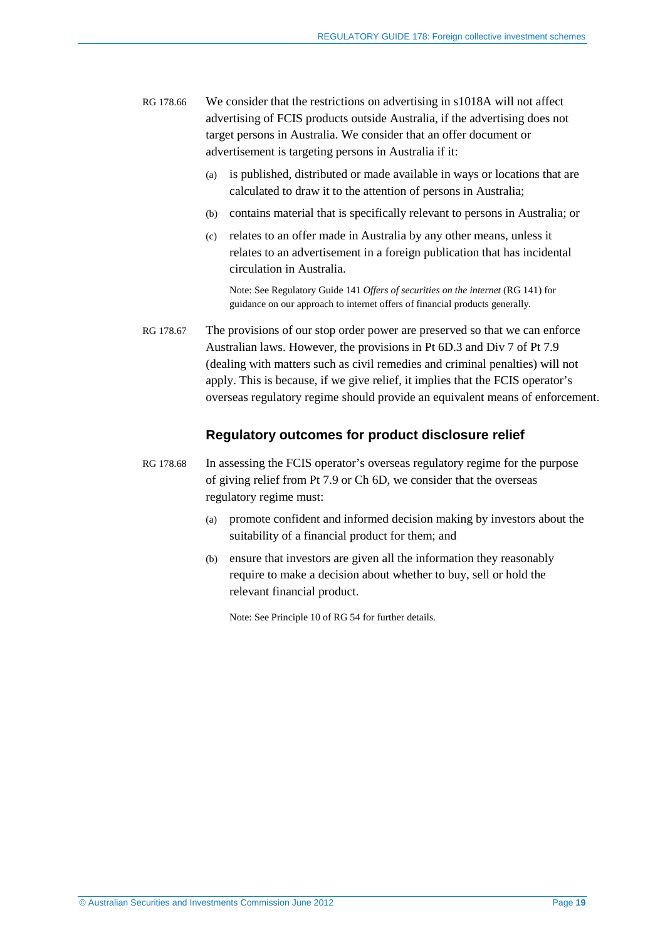- RG 178.66 We consider that the restrictions on advertising in s1018A will not affect advertising of FCIS products outside Australia, if the advertising does not target persons in Australia. We consider that an offer document or advertisement is targeting persons in Australia if it:
	- (a) is published, distributed or made available in ways or locations that are calculated to draw it to the attention of persons in Australia;
	- (b) contains material that is specifically relevant to persons in Australia; or
	- (c) relates to an offer made in Australia by any other means, unless it relates to an advertisement in a foreign publication that has incidental circulation in Australia.

Note: See Regulatory Guide 141 *Offers of securities on the internet* (RG 141) for guidance on our approach to internet offers of financial products generally.

RG 178.67 The provisions of our stop order power are preserved so that we can enforce Australian laws. However, the provisions in Pt 6D.3 and Div 7 of Pt 7.9 (dealing with matters such as civil remedies and criminal penalties) will not apply. This is because, if we give relief, it implies that the FCIS operator's overseas regulatory regime should provide an equivalent means of enforcement.

#### **Regulatory outcomes for product disclosure relief**

- <span id="page-18-0"></span>RG 178.68 In assessing the FCIS operator's overseas regulatory regime for the purpose of giving relief from Pt 7.9 or Ch 6D, we consider that the overseas regulatory regime must:
	- (a) promote confident and informed decision making by investors about the suitability of a financial product for them; and
	- (b) ensure that investors are given all the information they reasonably require to make a decision about whether to buy, sell or hold the relevant financial product.

Note: See Principle 10 of RG 54 for further details.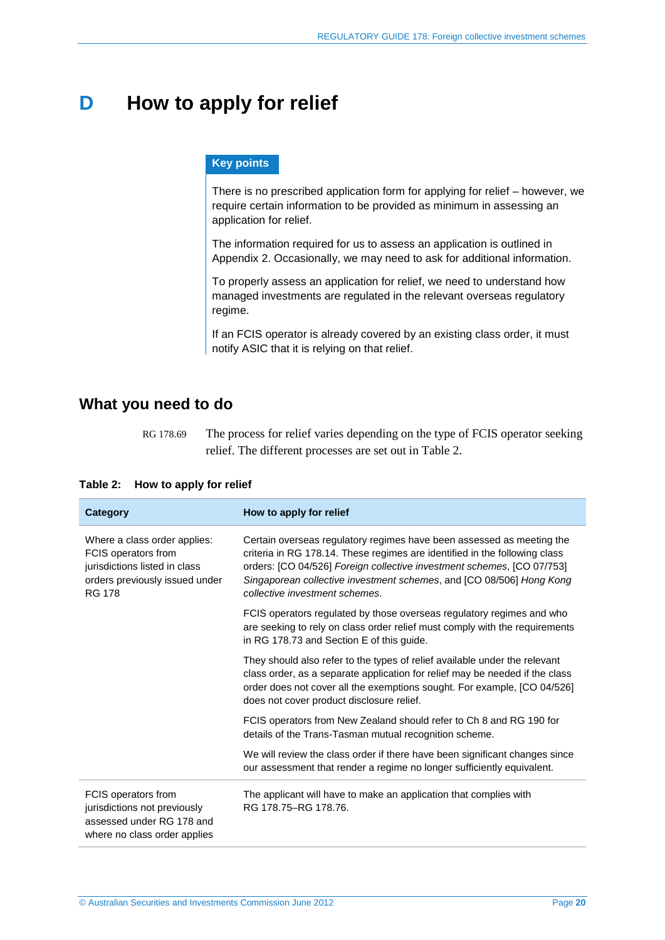## <span id="page-19-0"></span>**D How to apply for relief**

#### **Key points**

There is no prescribed application form for applying for relief – however, we require certain information to be provided as minimum in assessing an application for relief.

The information required for us to assess an application is outlined in Appendix 2. Occasionally, we may need to ask for additional information.

To properly assess an application for relief, we need to understand how managed investments are regulated in the relevant overseas regulatory regime.

If an FCIS operator is already covered by an existing class order, it must notify ASIC that it is relying on that relief.

### <span id="page-19-1"></span>**What you need to do**

RG 178.69 The process for relief varies depending on the type of FCIS operator seeking relief. The different processes are set out i[n Table 2.](#page-19-2)

| <b>Category</b>                                                                                                                         | How to apply for relief                                                                                                                                                                                                                                                                                                                 |
|-----------------------------------------------------------------------------------------------------------------------------------------|-----------------------------------------------------------------------------------------------------------------------------------------------------------------------------------------------------------------------------------------------------------------------------------------------------------------------------------------|
| Where a class order applies:<br>FCIS operators from<br>jurisdictions listed in class<br>orders previously issued under<br><b>RG 178</b> | Certain overseas regulatory regimes have been assessed as meeting the<br>criteria in RG 178.14. These regimes are identified in the following class<br>orders: [CO 04/526] Foreign collective investment schemes, [CO 07/753]<br>Singaporean collective investment schemes, and [CO 08/506] Hong Kong<br>collective investment schemes. |
|                                                                                                                                         | FCIS operators regulated by those overseas regulatory regimes and who<br>are seeking to rely on class order relief must comply with the requirements<br>in RG 178.73 and Section E of this guide.                                                                                                                                       |
|                                                                                                                                         | They should also refer to the types of relief available under the relevant<br>class order, as a separate application for relief may be needed if the class<br>order does not cover all the exemptions sought. For example, [CO 04/526]<br>does not cover product disclosure relief.                                                     |
|                                                                                                                                         | FCIS operators from New Zealand should refer to Ch 8 and RG 190 for<br>details of the Trans-Tasman mutual recognition scheme.                                                                                                                                                                                                           |
|                                                                                                                                         | We will review the class order if there have been significant changes since<br>our assessment that render a regime no longer sufficiently equivalent.                                                                                                                                                                                   |
| FCIS operators from<br>jurisdictions not previously<br>assessed under RG 178 and<br>where no class order applies                        | The applicant will have to make an application that complies with<br>RG 178.75-RG 178.76.                                                                                                                                                                                                                                               |

#### <span id="page-19-2"></span>**Table 2: How to apply for relief**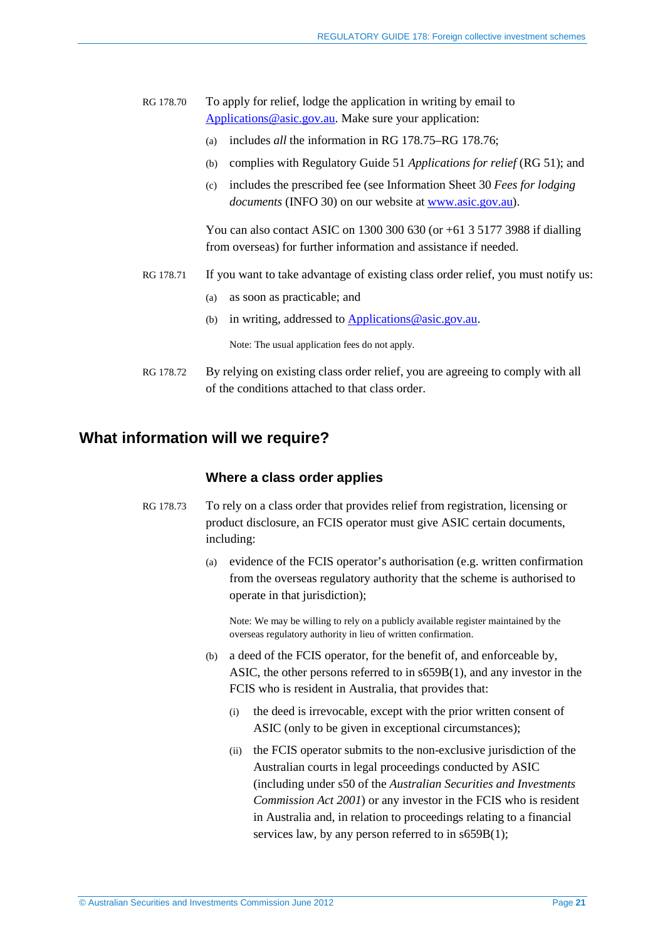#### RG 178.70 To apply for relief, lodge the application in writing by email to [Applications@asic.gov.au.](mailto:Applications@asic.gov.au) Make sure your application:

- (a) includes *all* the information in RG [178.75–](#page-21-0)RG 178.76;
- (b) complies with Regulatory Guide 51 *Applications for relief* (RG 51); and
- (c) includes the prescribed fee (see Information Sheet 30 *Fees for lodging documents* (INFO 30) on our website at [www.asic.gov.au\)](http://www.asic.gov.au/).

You can also contact ASIC on 1300 300 630 (or +61 3 5177 3988 if dialling from overseas) for further information and assistance if needed.

- RG 178.71 If you want to take advantage of existing class order relief, you must notify us:
	- (a) as soon as practicable; and
	- (b) in writing, addressed t[o Applications@asic.gov.au.](mailto:Applications@asic.gov.au)

Note: The usual application fees do not apply.

RG 178.72 By relying on existing class order relief, you are agreeing to comply with all of the conditions attached to that class order.

## <span id="page-20-1"></span><span id="page-20-0"></span>**What information will we require?**

#### **Where a class order applies**

- RG 178.73 To rely on a class order that provides relief from registration, licensing or product disclosure, an FCIS operator must give ASIC certain documents, including:
	- (a) evidence of the FCIS operator's authorisation (e.g. written confirmation from the overseas regulatory authority that the scheme is authorised to operate in that jurisdiction);

Note: We may be willing to rely on a publicly available register maintained by the overseas regulatory authority in lieu of written confirmation.

- (b) a deed of the FCIS operator, for the benefit of, and enforceable by, ASIC, the other persons referred to in s659B(1), and any investor in the FCIS who is resident in Australia, that provides that:
	- (i) the deed is irrevocable, except with the prior written consent of ASIC (only to be given in exceptional circumstances);
	- (ii) the FCIS operator submits to the non-exclusive jurisdiction of the Australian courts in legal proceedings conducted by ASIC (including under s50 of the *Australian Securities and Investments Commission Act 2001*) or any investor in the FCIS who is resident in Australia and, in relation to proceedings relating to a financial services law, by any person referred to in s659B(1);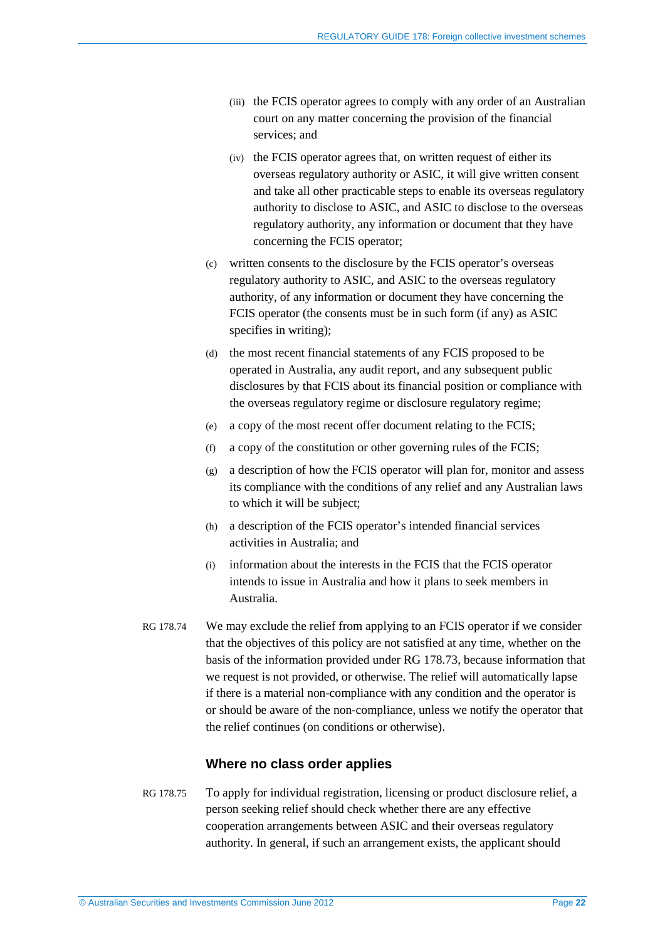- (iii) the FCIS operator agrees to comply with any order of an Australian court on any matter concerning the provision of the financial services; and
- (iv) the FCIS operator agrees that, on written request of either its overseas regulatory authority or ASIC, it will give written consent and take all other practicable steps to enable its overseas regulatory authority to disclose to ASIC, and ASIC to disclose to the overseas regulatory authority, any information or document that they have concerning the FCIS operator;
- (c) written consents to the disclosure by the FCIS operator's overseas regulatory authority to ASIC, and ASIC to the overseas regulatory authority, of any information or document they have concerning the FCIS operator (the consents must be in such form (if any) as ASIC specifies in writing);
- (d) the most recent financial statements of any FCIS proposed to be operated in Australia, any audit report, and any subsequent public disclosures by that FCIS about its financial position or compliance with the overseas regulatory regime or disclosure regulatory regime;
- (e) a copy of the most recent offer document relating to the FCIS;
- (f) a copy of the constitution or other governing rules of the FCIS;
- (g) a description of how the FCIS operator will plan for, monitor and assess its compliance with the conditions of any relief and any Australian laws to which it will be subject;
- (h) a description of the FCIS operator's intended financial services activities in Australia; and
- (i) information about the interests in the FCIS that the FCIS operator intends to issue in Australia and how it plans to seek members in Australia.
- RG 178.74 We may exclude the relief from applying to an FCIS operator if we consider that the objectives of this policy are not satisfied at any time, whether on the basis of the information provided under RG [178.73,](#page-20-1) because information that we request is not provided, or otherwise. The relief will automatically lapse if there is a material non-compliance with any condition and the operator is or should be aware of the non-compliance, unless we notify the operator that the relief continues (on conditions or otherwise).

#### **Where no class order applies**

<span id="page-21-0"></span>RG 178.75 To apply for individual registration, licensing or product disclosure relief, a person seeking relief should check whether there are any effective cooperation arrangements between ASIC and their overseas regulatory authority. In general, if such an arrangement exists, the applicant should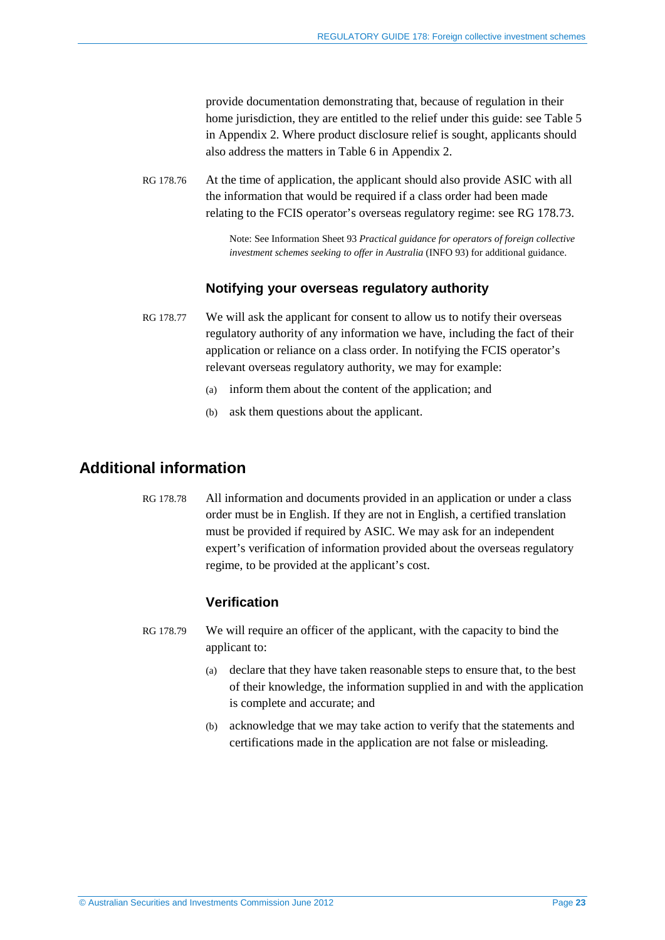provide documentation demonstrating that, because of regulation in their home jurisdiction, they are entitled to the relief under this guide: se[e Table 5](#page-34-1) in Appendix 2. Where product disclosure relief is sought, applicants should also address the matters in [Table 6](#page-38-0) in Appendix 2.

RG 178.76 At the time of application, the applicant should also provide ASIC with all the information that would be required if a class order had been made relating to the FCIS operator's overseas regulatory regime: see RG [178.73.](#page-20-1)

> Note: See Information Sheet 93 *Practical guidance for operators of foreign collective investment schemes seeking to offer in Australia* (INFO 93) for additional guidance.

#### **Notifying your overseas regulatory authority**

- RG 178.77 We will ask the applicant for consent to allow us to notify their overseas regulatory authority of any information we have, including the fact of their application or reliance on a class order. In notifying the FCIS operator's relevant overseas regulatory authority, we may for example:
	- (a) inform them about the content of the application; and
	- (b) ask them questions about the applicant.

## <span id="page-22-0"></span>**Additional information**

RG 178.78 All information and documents provided in an application or under a class order must be in English. If they are not in English, a certified translation must be provided if required by ASIC. We may ask for an independent expert's verification of information provided about the overseas regulatory regime, to be provided at the applicant's cost.

#### **Verification**

- RG 178.79 We will require an officer of the applicant, with the capacity to bind the applicant to:
	- (a) declare that they have taken reasonable steps to ensure that, to the best of their knowledge, the information supplied in and with the application is complete and accurate; and
	- (b) acknowledge that we may take action to verify that the statements and certifications made in the application are not false or misleading.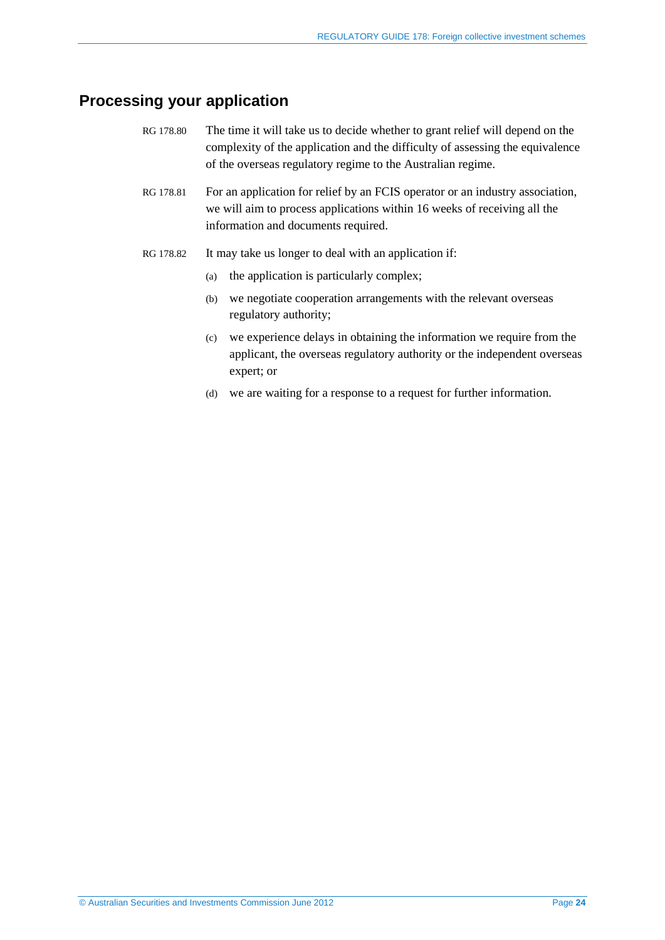## <span id="page-23-0"></span>**Processing your application**

- RG 178.80 The time it will take us to decide whether to grant relief will depend on the complexity of the application and the difficulty of assessing the equivalence of the overseas regulatory regime to the Australian regime.
- RG 178.81 For an application for relief by an FCIS operator or an industry association, we will aim to process applications within 16 weeks of receiving all the information and documents required.
- RG 178.82 It may take us longer to deal with an application if:
	- (a) the application is particularly complex;
	- (b) we negotiate cooperation arrangements with the relevant overseas regulatory authority;
	- (c) we experience delays in obtaining the information we require from the applicant, the overseas regulatory authority or the independent overseas expert; or
	- (d) we are waiting for a response to a request for further information.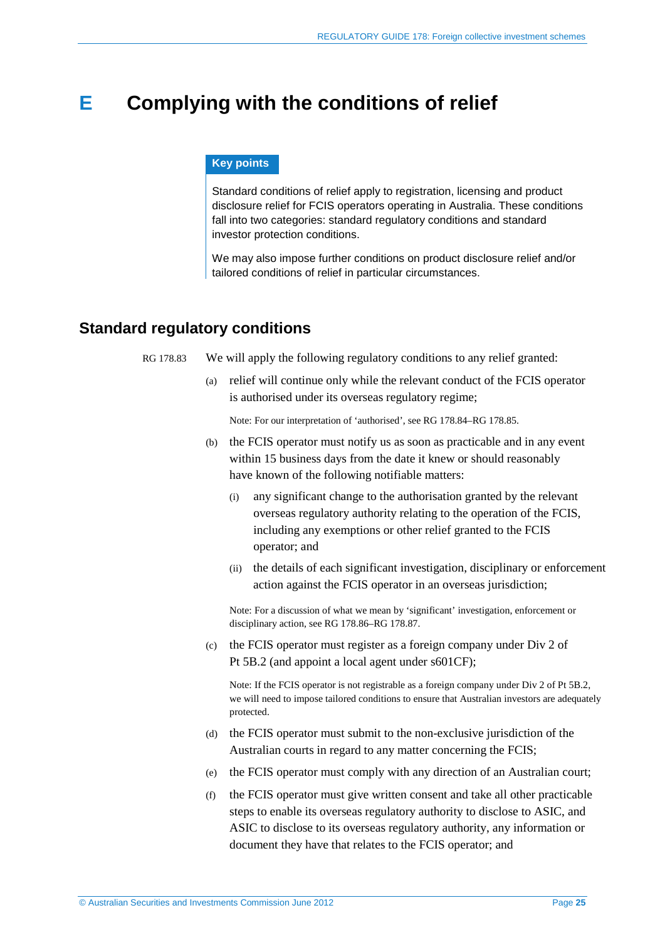## <span id="page-24-3"></span><span id="page-24-0"></span>**E Complying with the conditions of relief**

#### **Key points**

Standard conditions of relief apply to registration, licensing and product disclosure relief for FCIS operators operating in Australia. These conditions fall into two categories: standard regulatory conditions and standard investor protection conditions.

We may also impose further conditions on product disclosure relief and/or tailored conditions of relief in particular circumstances.

### <span id="page-24-2"></span><span id="page-24-1"></span>**Standard regulatory conditions**

RG 178.83 We will apply the following regulatory conditions to any relief granted:

(a) relief will continue only while the relevant conduct of the FCIS operator is authorised under its overseas regulatory regime;

Note: For our interpretation of 'authorised', see RG [178.84–](#page-25-0)RG [178.85.](#page-25-1)

- (b) the FCIS operator must notify us as soon as practicable and in any event within 15 business days from the date it knew or should reasonably have known of the following notifiable matters:
	- (i) any significant change to the authorisation granted by the relevant overseas regulatory authority relating to the operation of the FCIS, including any exemptions or other relief granted to the FCIS operator; and
	- (ii) the details of each significant investigation, disciplinary or enforcement action against the FCIS operator in an overseas jurisdiction;

Note: For a discussion of what we mean by 'significant' investigation, enforcement or disciplinary action, see RG [178.86–](#page-25-2)RG [178.87.](#page-25-3)

(c) the FCIS operator must register as a foreign company under Div 2 of Pt 5B.2 (and appoint a local agent under s601CF);

Note: If the FCIS operator is not registrable as a foreign company under Div 2 of Pt 5B.2, we will need to impose tailored conditions to ensure that Australian investors are adequately protected.

- (d) the FCIS operator must submit to the non-exclusive jurisdiction of the Australian courts in regard to any matter concerning the FCIS;
- (e) the FCIS operator must comply with any direction of an Australian court;
- (f) the FCIS operator must give written consent and take all other practicable steps to enable its overseas regulatory authority to disclose to ASIC, and ASIC to disclose to its overseas regulatory authority, any information or document they have that relates to the FCIS operator; and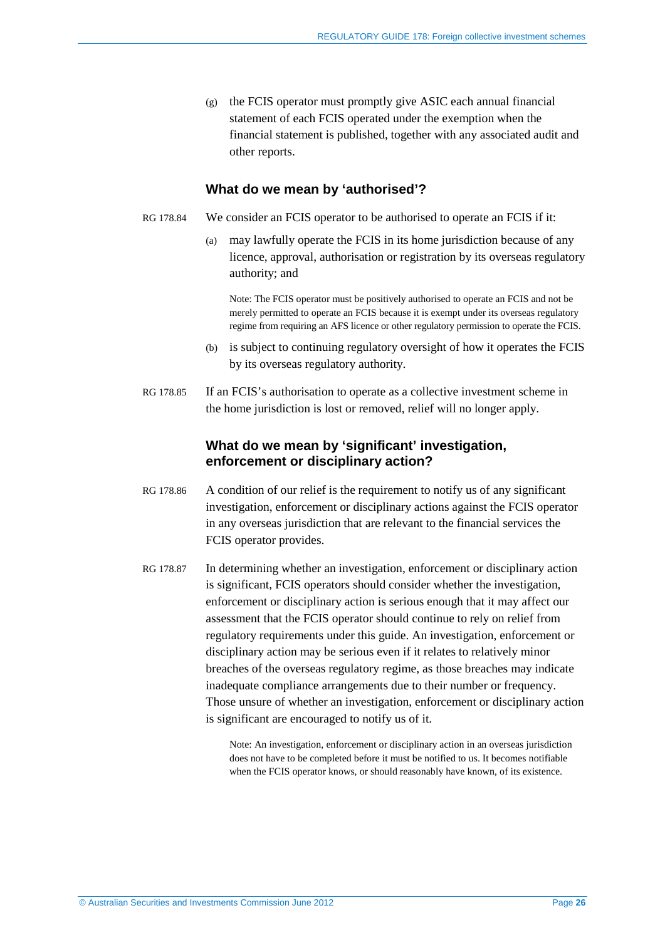(g) the FCIS operator must promptly give ASIC each annual financial statement of each FCIS operated under the exemption when the financial statement is published, together with any associated audit and other reports.

#### **What do we mean by 'authorised'?**

- <span id="page-25-0"></span>RG 178.84 We consider an FCIS operator to be authorised to operate an FCIS if it:
	- (a) may lawfully operate the FCIS in its home jurisdiction because of any licence, approval, authorisation or registration by its overseas regulatory authority; and

Note: The FCIS operator must be positively authorised to operate an FCIS and not be merely permitted to operate an FCIS because it is exempt under its overseas regulatory regime from requiring an AFS licence or other regulatory permission to operate the FCIS.

- (b) is subject to continuing regulatory oversight of how it operates the FCIS by its overseas regulatory authority.
- <span id="page-25-1"></span>RG 178.85 If an FCIS's authorisation to operate as a collective investment scheme in the home jurisdiction is lost or removed, relief will no longer apply.

#### **What do we mean by 'significant' investigation, enforcement or disciplinary action?**

- <span id="page-25-2"></span>RG 178.86 A condition of our relief is the requirement to notify us of any significant investigation, enforcement or disciplinary actions against the FCIS operator in any overseas jurisdiction that are relevant to the financial services the FCIS operator provides.
- <span id="page-25-3"></span>RG 178.87 In determining whether an investigation, enforcement or disciplinary action is significant, FCIS operators should consider whether the investigation, enforcement or disciplinary action is serious enough that it may affect our assessment that the FCIS operator should continue to rely on relief from regulatory requirements under this guide. An investigation, enforcement or disciplinary action may be serious even if it relates to relatively minor breaches of the overseas regulatory regime, as those breaches may indicate inadequate compliance arrangements due to their number or frequency. Those unsure of whether an investigation, enforcement or disciplinary action is significant are encouraged to notify us of it.

Note: An investigation, enforcement or disciplinary action in an overseas jurisdiction does not have to be completed before it must be notified to us. It becomes notifiable when the FCIS operator knows, or should reasonably have known, of its existence.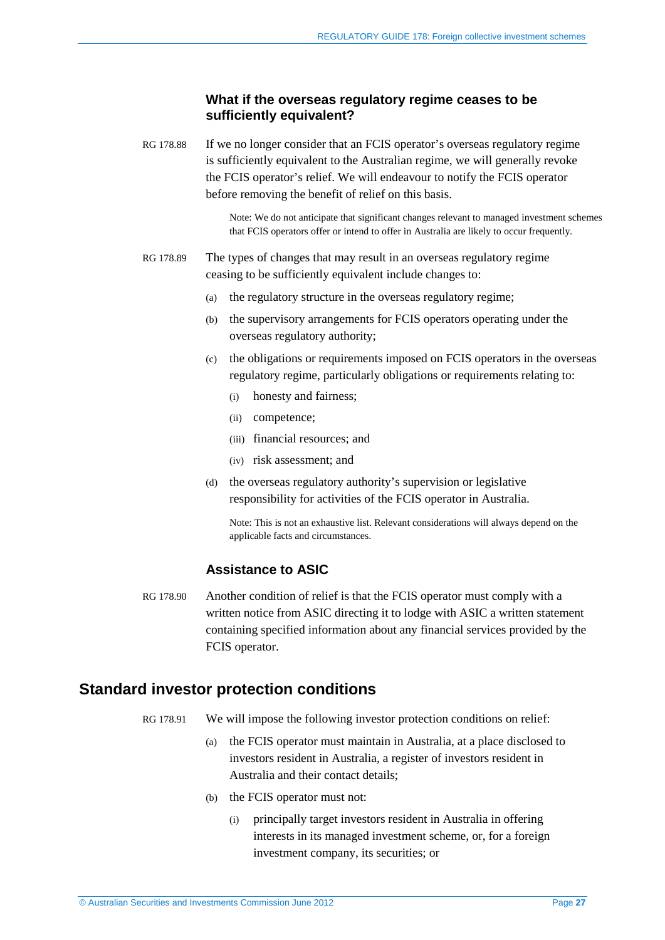#### **What if the overseas regulatory regime ceases to be sufficiently equivalent?**

RG 178.88 If we no longer consider that an FCIS operator's overseas regulatory regime is sufficiently equivalent to the Australian regime, we will generally revoke the FCIS operator's relief. We will endeavour to notify the FCIS operator before removing the benefit of relief on this basis.

> Note: We do not anticipate that significant changes relevant to managed investment schemes that FCIS operators offer or intend to offer in Australia are likely to occur frequently.

#### RG 178.89 The types of changes that may result in an overseas regulatory regime ceasing to be sufficiently equivalent include changes to:

- (a) the regulatory structure in the overseas regulatory regime;
- (b) the supervisory arrangements for FCIS operators operating under the overseas regulatory authority;
- (c) the obligations or requirements imposed on FCIS operators in the overseas regulatory regime, particularly obligations or requirements relating to:
	- (i) honesty and fairness;
	- (ii) competence;
	- (iii) financial resources; and
	- (iv) risk assessment; and
- (d) the overseas regulatory authority's supervision or legislative responsibility for activities of the FCIS operator in Australia.

Note: This is not an exhaustive list. Relevant considerations will always depend on the applicable facts and circumstances.

#### **Assistance to ASIC**

RG 178.90 Another condition of relief is that the FCIS operator must comply with a written notice from ASIC directing it to lodge with ASIC a written statement containing specified information about any financial services provided by the FCIS operator.

#### <span id="page-26-0"></span>**Standard investor protection conditions**

- RG 178.91 We will impose the following investor protection conditions on relief:
	- (a) the FCIS operator must maintain in Australia, at a place disclosed to investors resident in Australia, a register of investors resident in Australia and their contact details;
	- (b) the FCIS operator must not:
		- (i) principally target investors resident in Australia in offering interests in its managed investment scheme, or, for a foreign investment company, its securities; or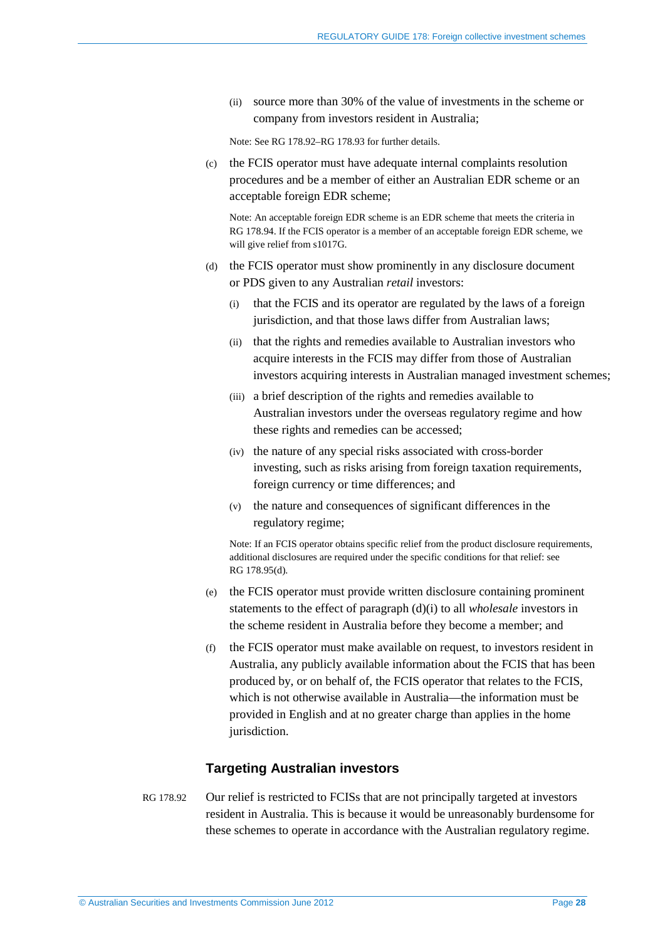(ii) source more than 30% of the value of investments in the scheme or company from investors resident in Australia;

Note: See RG [178.92–](#page-27-0)RG [178.93](#page-28-3) for further details.

(c) the FCIS operator must have adequate internal complaints resolution procedures and be a member of either an Australian EDR scheme or an acceptable foreign EDR scheme;

Note: An acceptable foreign EDR scheme is an EDR scheme that meets the criteria in RG [178.94.](#page-28-1) If the FCIS operator is a member of an acceptable foreign EDR scheme, we will give relief from s1017G.

- <span id="page-27-1"></span>(d) the FCIS operator must show prominently in any disclosure document or PDS given to any Australian *retail* investors:
	- (i) that the FCIS and its operator are regulated by the laws of a foreign jurisdiction, and that those laws differ from Australian laws;
	- (ii) that the rights and remedies available to Australian investors who acquire interests in the FCIS may differ from those of Australian investors acquiring interests in Australian managed investment schemes;
	- (iii) a brief description of the rights and remedies available to Australian investors under the overseas regulatory regime and how these rights and remedies can be accessed;
	- (iv) the nature of any special risks associated with cross-border investing, such as risks arising from foreign taxation requirements, foreign currency or time differences; and
	- (v) the nature and consequences of significant differences in the regulatory regime;

Note: If an FCIS operator obtains specific relief from the product disclosure requirements, additional disclosures are required under the specific conditions for that relief: see RG [178.95\(d\).](#page-29-4)

- (e) the FCIS operator must provide written disclosure containing prominent statements to the effect of paragraph (d)(i) to all *wholesale* investors in the scheme resident in Australia before they become a member; and
- (f) the FCIS operator must make available on request, to investors resident in Australia, any publicly available information about the FCIS that has been produced by, or on behalf of, the FCIS operator that relates to the FCIS, which is not otherwise available in Australia—the information must be provided in English and at no greater charge than applies in the home jurisdiction.

#### **Targeting Australian investors**

<span id="page-27-0"></span>RG 178.92 Our relief is restricted to FCISs that are not principally targeted at investors resident in Australia. This is because it would be unreasonably burdensome for these schemes to operate in accordance with the Australian regulatory regime.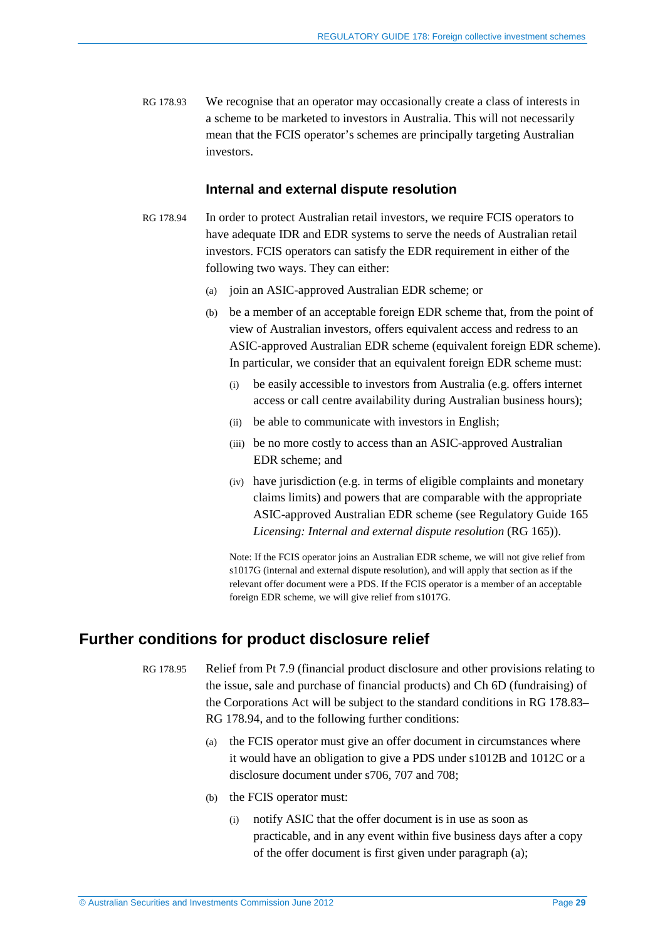<span id="page-28-4"></span><span id="page-28-3"></span>RG 178.93 We recognise that an operator may occasionally create a class of interests in a scheme to be marketed to investors in Australia. This will not necessarily mean that the FCIS operator's schemes are principally targeting Australian investors.

#### **Internal and external dispute resolution**

- <span id="page-28-5"></span><span id="page-28-1"></span>RG 178.94 In order to protect Australian retail investors, we require FCIS operators to have adequate IDR and EDR systems to serve the needs of Australian retail investors. FCIS operators can satisfy the EDR requirement in either of the following two ways. They can either:
	- (a) join an ASIC-approved Australian EDR scheme; or
	- (b) be a member of an acceptable foreign EDR scheme that, from the point of view of Australian investors, offers equivalent access and redress to an ASIC-approved Australian EDR scheme (equivalent foreign EDR scheme). In particular, we consider that an equivalent foreign EDR scheme must:
		- (i) be easily accessible to investors from Australia (e.g. offers internet access or call centre availability during Australian business hours);
		- (ii) be able to communicate with investors in English;
		- (iii) be no more costly to access than an ASIC-approved Australian EDR scheme; and
		- (iv) have jurisdiction (e.g. in terms of eligible complaints and monetary claims limits) and powers that are comparable with the appropriate ASIC-approved Australian EDR scheme (see Regulatory Guide 165 *Licensing: Internal and external dispute resolution* (RG 165)).

Note: If the FCIS operator joins an Australian EDR scheme, we will not give relief from s1017G (internal and external dispute resolution), and will apply that section as if the relevant offer document were a PDS. If the FCIS operator is a member of an acceptable foreign EDR scheme, we will give relief from s1017G.

#### <span id="page-28-2"></span><span id="page-28-0"></span>**Further conditions for product disclosure relief**

- RG 178.95 Relief from Pt 7.9 (financial product disclosure and other provisions relating to the issue, sale and purchase of financial products) and Ch 6D (fundraising) of the Corporations Act will be subject to the standard conditions in RG [178.83–](#page-24-2) RG [178.94,](#page-28-1) and to the following further conditions:
	- (a) the FCIS operator must give an offer document in circumstances where it would have an obligation to give a PDS under s1012B and 1012C or a disclosure document under s706, 707 and 708;
	- (b) the FCIS operator must:
		- (i) notify ASIC that the offer document is in use as soon as practicable, and in any event within five business days after a copy of the offer document is first given under paragraph (a);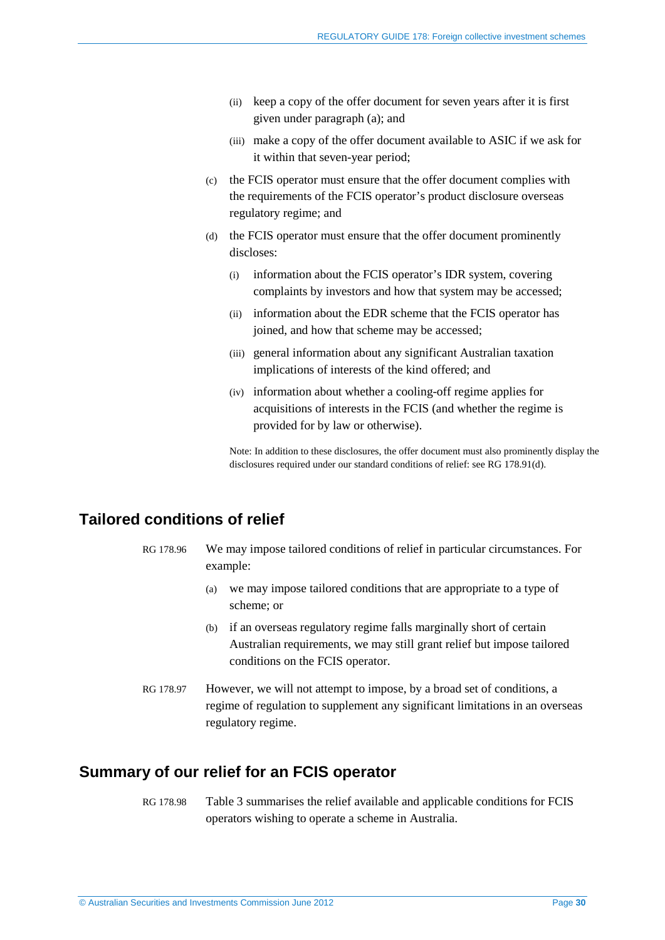- (ii) keep a copy of the offer document for seven years after it is first given under paragraph (a); and
- (iii) make a copy of the offer document available to ASIC if we ask for it within that seven-year period;
- (c) the FCIS operator must ensure that the offer document complies with the requirements of the FCIS operator's product disclosure overseas regulatory regime; and
- <span id="page-29-4"></span>(d) the FCIS operator must ensure that the offer document prominently discloses:
	- (i) information about the FCIS operator's IDR system, covering complaints by investors and how that system may be accessed;
	- (ii) information about the EDR scheme that the FCIS operator has joined, and how that scheme may be accessed;
	- (iii) general information about any significant Australian taxation implications of interests of the kind offered; and
	- (iv) information about whether a cooling-off regime applies for acquisitions of interests in the FCIS (and whether the regime is provided for by law or otherwise).

Note: In addition to these disclosures, the offer document must also prominently display the disclosures required under our standard conditions of relief: see RG [178.91\(d\).](#page-27-1)

## <span id="page-29-2"></span><span id="page-29-0"></span>**Tailored conditions of relief**

- RG 178.96 We may impose tailored conditions of relief in particular circumstances. For example:
	- (a) we may impose tailored conditions that are appropriate to a type of scheme; or
	- (b) if an overseas regulatory regime falls marginally short of certain Australian requirements, we may still grant relief but impose tailored conditions on the FCIS operator.
- <span id="page-29-3"></span>RG 178.97 However, we will not attempt to impose, by a broad set of conditions, a regime of regulation to supplement any significant limitations in an overseas regulatory regime.

### <span id="page-29-1"></span>**Summary of our relief for an FCIS operator**

RG 178.98 [Table 3](#page-30-0) summarises the relief available and applicable conditions for FCIS operators wishing to operate a scheme in Australia.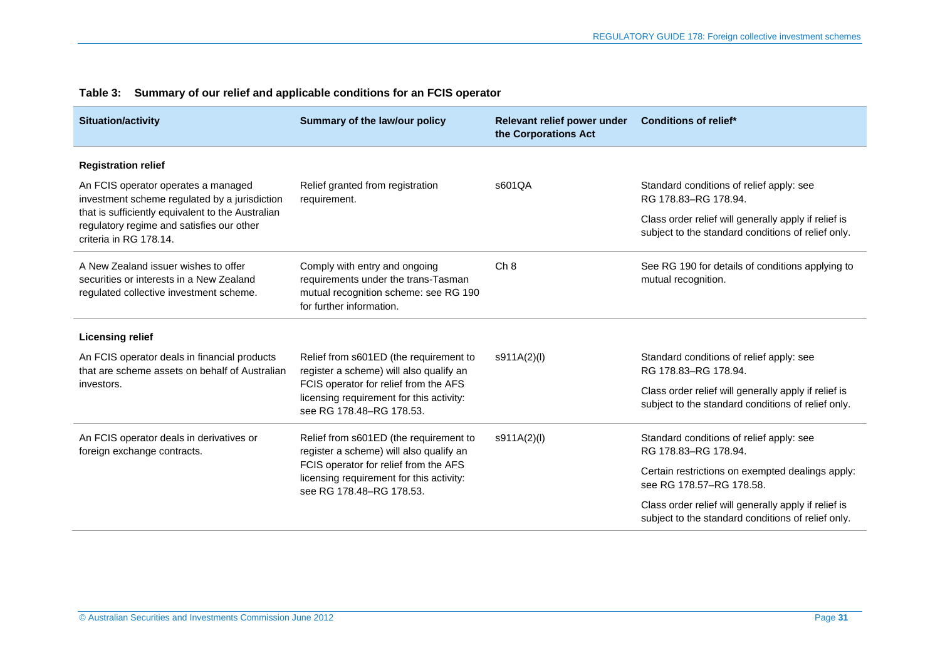<span id="page-30-0"></span>

| <b>Situation/activity</b>                                                                                                   | Summary of the law/our policy                                                                                                                                                                      | Relevant relief power under<br>the Corporations Act | <b>Conditions of relief*</b>                                                                               |
|-----------------------------------------------------------------------------------------------------------------------------|----------------------------------------------------------------------------------------------------------------------------------------------------------------------------------------------------|-----------------------------------------------------|------------------------------------------------------------------------------------------------------------|
| <b>Registration relief</b>                                                                                                  |                                                                                                                                                                                                    |                                                     |                                                                                                            |
| An FCIS operator operates a managed<br>investment scheme regulated by a jurisdiction                                        | Relief granted from registration<br>requirement.                                                                                                                                                   | s601QA                                              | Standard conditions of relief apply: see<br>RG 178.83-RG 178.94.                                           |
| that is sufficiently equivalent to the Australian<br>regulatory regime and satisfies our other<br>criteria in RG 178.14.    |                                                                                                                                                                                                    |                                                     | Class order relief will generally apply if relief is<br>subject to the standard conditions of relief only. |
| A New Zealand issuer wishes to offer<br>securities or interests in a New Zealand<br>regulated collective investment scheme. | Comply with entry and ongoing<br>requirements under the trans-Tasman<br>mutual recognition scheme: see RG 190<br>for further information.                                                          | Ch 8                                                | See RG 190 for details of conditions applying to<br>mutual recognition.                                    |
| <b>Licensing relief</b>                                                                                                     |                                                                                                                                                                                                    |                                                     |                                                                                                            |
| An FCIS operator deals in financial products<br>that are scheme assets on behalf of Australian                              | Relief from s601ED (the requirement to<br>register a scheme) will also qualify an<br>FCIS operator for relief from the AFS<br>licensing requirement for this activity:<br>see RG 178.48-RG 178.53. | s911A(2)(l)                                         | Standard conditions of relief apply: see<br>RG 178.83-RG 178.94.                                           |
| investors.                                                                                                                  |                                                                                                                                                                                                    |                                                     | Class order relief will generally apply if relief is<br>subject to the standard conditions of relief only. |
| An FCIS operator deals in derivatives or<br>foreign exchange contracts.                                                     | Relief from s601ED (the requirement to<br>register a scheme) will also qualify an<br>FCIS operator for relief from the AFS<br>licensing requirement for this activity:<br>see RG 178.48-RG 178.53. | s911A(2)(l)                                         | Standard conditions of relief apply: see<br>RG 178.83-RG 178.94.                                           |
|                                                                                                                             |                                                                                                                                                                                                    |                                                     | Certain restrictions on exempted dealings apply:<br>see RG 178.57-RG 178.58.                               |
|                                                                                                                             |                                                                                                                                                                                                    |                                                     | Class order relief will generally apply if relief is<br>subject to the standard conditions of relief only. |

#### **Table 3: Summary of our relief and applicable conditions for an FCIS operator**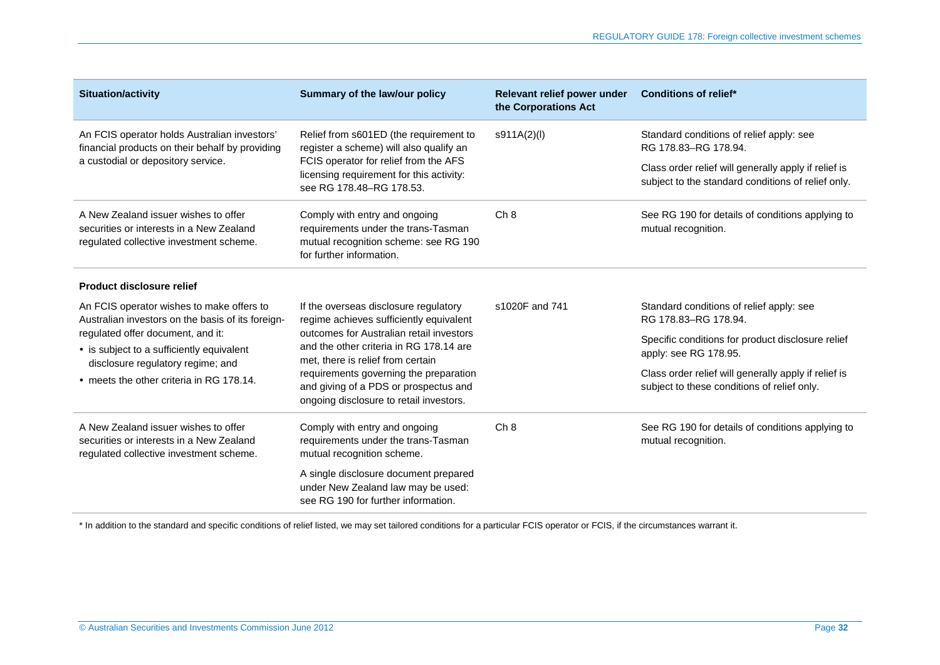| <b>Situation/activity</b>                                                                                                   | Summary of the law/our policy                                                                                                                                                                                                                                                                                                              | Relevant relief power under<br>the Corporations Act | <b>Conditions of relief*</b>                                                                               |
|-----------------------------------------------------------------------------------------------------------------------------|--------------------------------------------------------------------------------------------------------------------------------------------------------------------------------------------------------------------------------------------------------------------------------------------------------------------------------------------|-----------------------------------------------------|------------------------------------------------------------------------------------------------------------|
| An FCIS operator holds Australian investors'<br>financial products on their behalf by providing                             | Relief from s601ED (the requirement to<br>register a scheme) will also qualify an<br>FCIS operator for relief from the AFS<br>licensing requirement for this activity:<br>see RG 178.48-RG 178.53.                                                                                                                                         | s911A(2)(l)                                         | Standard conditions of relief apply: see<br>RG 178.83-RG 178.94.                                           |
| a custodial or depository service.                                                                                          |                                                                                                                                                                                                                                                                                                                                            |                                                     | Class order relief will generally apply if relief is<br>subject to the standard conditions of relief only. |
| A New Zealand issuer wishes to offer<br>securities or interests in a New Zealand<br>regulated collective investment scheme. | Comply with entry and ongoing<br>requirements under the trans-Tasman<br>mutual recognition scheme: see RG 190<br>for further information.                                                                                                                                                                                                  | Ch 8                                                | See RG 190 for details of conditions applying to<br>mutual recognition.                                    |
| <b>Product disclosure relief</b>                                                                                            |                                                                                                                                                                                                                                                                                                                                            |                                                     |                                                                                                            |
| An FCIS operator wishes to make offers to<br>Australian investors on the basis of its foreign-                              | If the overseas disclosure regulatory<br>regime achieves sufficiently equivalent<br>outcomes for Australian retail investors<br>and the other criteria in RG 178.14 are<br>met, there is relief from certain<br>requirements governing the preparation<br>and giving of a PDS or prospectus and<br>ongoing disclosure to retail investors. | s1020F and 741                                      | Standard conditions of relief apply: see<br>RG 178.83-RG 178.94.                                           |
| regulated offer document, and it:<br>• is subject to a sufficiently equivalent<br>disclosure regulatory regime; and         |                                                                                                                                                                                                                                                                                                                                            |                                                     | Specific conditions for product disclosure relief<br>apply: see RG 178.95.                                 |
| • meets the other criteria in RG 178.14.                                                                                    |                                                                                                                                                                                                                                                                                                                                            |                                                     | Class order relief will generally apply if relief is<br>subject to these conditions of relief only.        |
| A New Zealand issuer wishes to offer<br>securities or interests in a New Zealand<br>regulated collective investment scheme. | Comply with entry and ongoing<br>requirements under the trans-Tasman<br>mutual recognition scheme.                                                                                                                                                                                                                                         | Ch 8                                                | See RG 190 for details of conditions applying to<br>mutual recognition.                                    |
|                                                                                                                             | A single disclosure document prepared<br>under New Zealand law may be used:<br>see RG 190 for further information.                                                                                                                                                                                                                         |                                                     |                                                                                                            |

\* In addition to the standard and specific conditions of relief listed, we may set tailored conditions for a particular FCIS operator or FCIS, if the circumstances warrant it.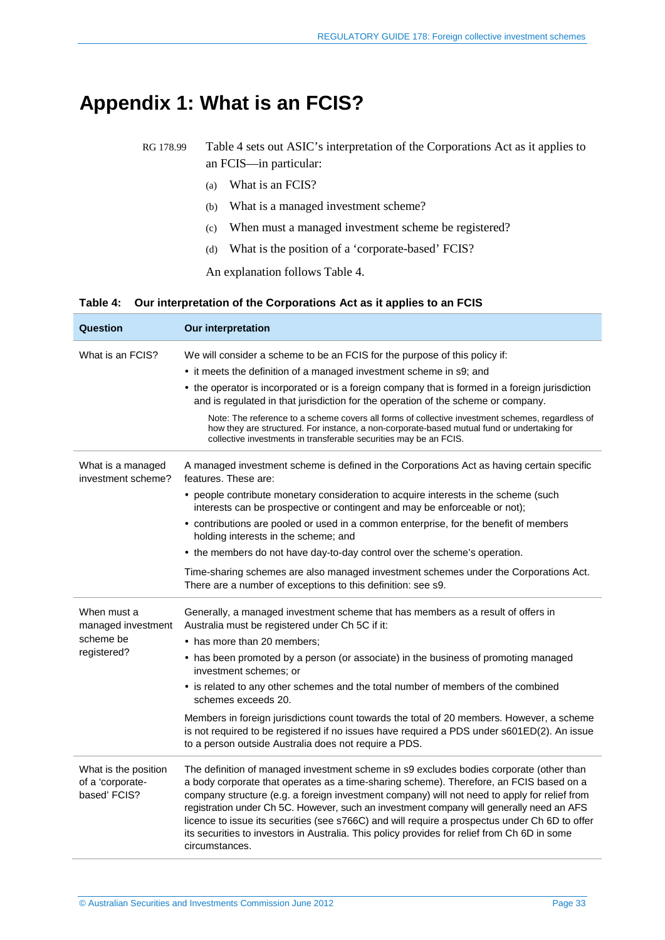## <span id="page-32-0"></span>**Appendix 1: What is an FCIS?**

RG 178.99 [Table 4](#page-32-1) sets out ASIC's interpretation of the Corporations Act as it applies to an FCIS—in particular:

- (a) What is an FCIS?
- (b) What is a managed investment scheme?
- (c) When must a managed investment scheme be registered?
- (d) What is the position of a 'corporate-based' FCIS?

An explanation follows [Table 4.](#page-32-1)

#### <span id="page-32-1"></span>**Table 4: Our interpretation of the Corporations Act as it applies to an FCIS**

| Question                                                 | <b>Our interpretation</b>                                                                                                                                                                                                                                                                                                                                                                                                                                                                                                                                                                          |  |  |  |  |
|----------------------------------------------------------|----------------------------------------------------------------------------------------------------------------------------------------------------------------------------------------------------------------------------------------------------------------------------------------------------------------------------------------------------------------------------------------------------------------------------------------------------------------------------------------------------------------------------------------------------------------------------------------------------|--|--|--|--|
| What is an FCIS?                                         | We will consider a scheme to be an FCIS for the purpose of this policy if:                                                                                                                                                                                                                                                                                                                                                                                                                                                                                                                         |  |  |  |  |
|                                                          | • it meets the definition of a managed investment scheme in s9; and                                                                                                                                                                                                                                                                                                                                                                                                                                                                                                                                |  |  |  |  |
|                                                          | • the operator is incorporated or is a foreign company that is formed in a foreign jurisdiction<br>and is regulated in that jurisdiction for the operation of the scheme or company.                                                                                                                                                                                                                                                                                                                                                                                                               |  |  |  |  |
|                                                          | Note: The reference to a scheme covers all forms of collective investment schemes, regardless of<br>how they are structured. For instance, a non-corporate-based mutual fund or undertaking for<br>collective investments in transferable securities may be an FCIS.                                                                                                                                                                                                                                                                                                                               |  |  |  |  |
| What is a managed<br>investment scheme?                  | A managed investment scheme is defined in the Corporations Act as having certain specific<br>features. These are:                                                                                                                                                                                                                                                                                                                                                                                                                                                                                  |  |  |  |  |
|                                                          | • people contribute monetary consideration to acquire interests in the scheme (such<br>interests can be prospective or contingent and may be enforceable or not);                                                                                                                                                                                                                                                                                                                                                                                                                                  |  |  |  |  |
|                                                          | • contributions are pooled or used in a common enterprise, for the benefit of members<br>holding interests in the scheme; and                                                                                                                                                                                                                                                                                                                                                                                                                                                                      |  |  |  |  |
|                                                          | • the members do not have day-to-day control over the scheme's operation.                                                                                                                                                                                                                                                                                                                                                                                                                                                                                                                          |  |  |  |  |
|                                                          | Time-sharing schemes are also managed investment schemes under the Corporations Act.<br>There are a number of exceptions to this definition: see s9.                                                                                                                                                                                                                                                                                                                                                                                                                                               |  |  |  |  |
| When must a<br>managed investment                        | Generally, a managed investment scheme that has members as a result of offers in<br>Australia must be registered under Ch 5C if it:                                                                                                                                                                                                                                                                                                                                                                                                                                                                |  |  |  |  |
| scheme be                                                | • has more than 20 members;                                                                                                                                                                                                                                                                                                                                                                                                                                                                                                                                                                        |  |  |  |  |
| registered?                                              | • has been promoted by a person (or associate) in the business of promoting managed<br>investment schemes; or                                                                                                                                                                                                                                                                                                                                                                                                                                                                                      |  |  |  |  |
|                                                          | • is related to any other schemes and the total number of members of the combined<br>schemes exceeds 20.                                                                                                                                                                                                                                                                                                                                                                                                                                                                                           |  |  |  |  |
|                                                          | Members in foreign jurisdictions count towards the total of 20 members. However, a scheme<br>is not required to be registered if no issues have required a PDS under s601ED(2). An issue<br>to a person outside Australia does not require a PDS.                                                                                                                                                                                                                                                                                                                                                  |  |  |  |  |
| What is the position<br>of a 'corporate-<br>based' FCIS? | The definition of managed investment scheme in s9 excludes bodies corporate (other than<br>a body corporate that operates as a time-sharing scheme). Therefore, an FCIS based on a<br>company structure (e.g. a foreign investment company) will not need to apply for relief from<br>registration under Ch 5C. However, such an investment company will generally need an AFS<br>licence to issue its securities (see s766C) and will require a prospectus under Ch 6D to offer<br>its securities to investors in Australia. This policy provides for relief from Ch 6D in some<br>circumstances. |  |  |  |  |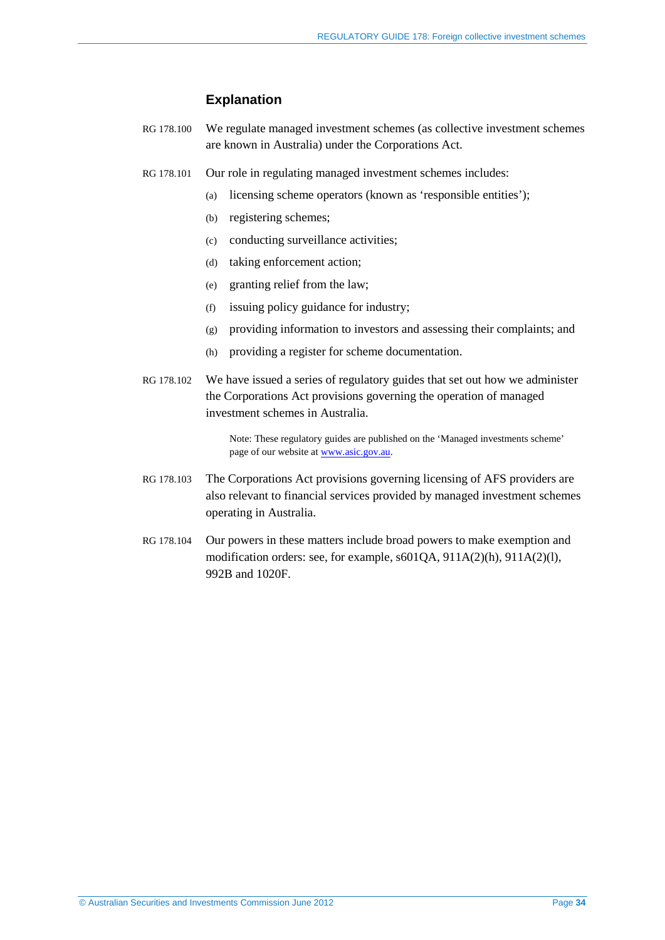#### **Explanation**

- RG 178.100 We regulate managed investment schemes (as collective investment schemes are known in Australia) under the Corporations Act.
- RG 178.101 Our role in regulating managed investment schemes includes:
	- (a) licensing scheme operators (known as 'responsible entities');
	- (b) registering schemes;
	- (c) conducting surveillance activities;
	- (d) taking enforcement action;
	- (e) granting relief from the law;
	- (f) issuing policy guidance for industry;
	- (g) providing information to investors and assessing their complaints; and
	- (h) providing a register for scheme documentation.
- RG 178.102 We have issued a series of regulatory guides that set out how we administer the Corporations Act provisions governing the operation of managed investment schemes in Australia.

Note: These regulatory guides are published on the 'Managed investments scheme' page of our website at [www.asic.gov.au.](http://www.asic.gov.au/)

- RG 178.103 The Corporations Act provisions governing licensing of AFS providers are also relevant to financial services provided by managed investment schemes operating in Australia.
- RG 178.104 Our powers in these matters include broad powers to make exemption and modification orders: see, for example, s601QA, 911A(2)(h), 911A(2)(l), 992B and 1020F.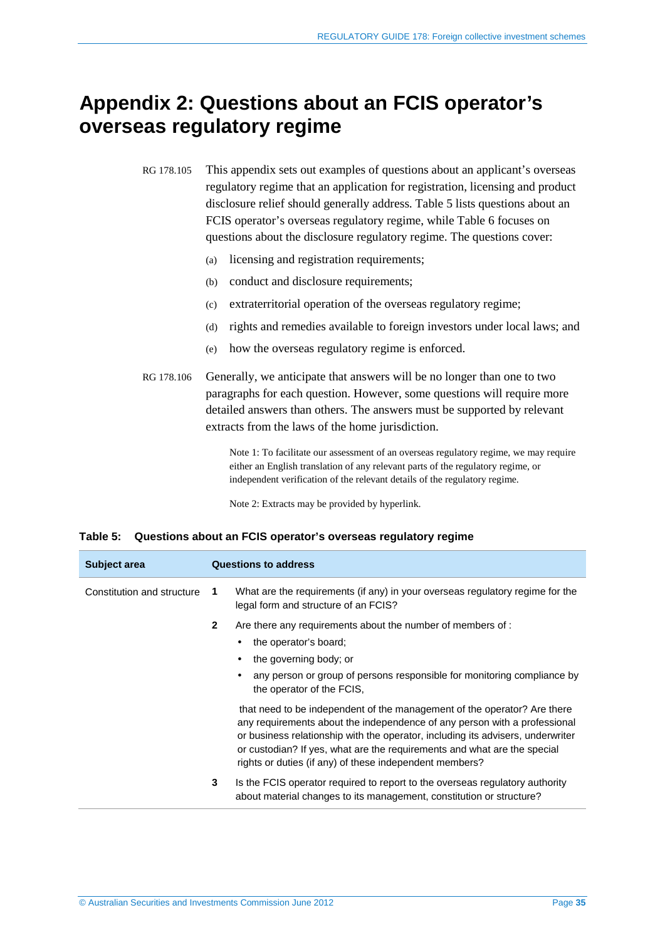## <span id="page-34-0"></span>**Appendix 2: Questions about an FCIS operator's overseas regulatory regime**

RG 178.105 This appendix sets out examples of questions about an applicant's overseas regulatory regime that an application for registration, licensing and product disclosure relief should generally address. [Table 5](#page-34-1) lists questions about an FCIS operator's overseas regulatory regime, while [Table 6](#page-38-0) focuses on questions about the disclosure regulatory regime. The questions cover:

- (a) licensing and registration requirements;
- (b) conduct and disclosure requirements;
- (c) extraterritorial operation of the overseas regulatory regime;
- (d) rights and remedies available to foreign investors under local laws; and
- (e) how the overseas regulatory regime is enforced.
- RG 178.106 Generally, we anticipate that answers will be no longer than one to two paragraphs for each question. However, some questions will require more detailed answers than others. The answers must be supported by relevant extracts from the laws of the home jurisdiction.

Note 1: To facilitate our assessment of an overseas regulatory regime, we may require either an English translation of any relevant parts of the regulatory regime, or independent verification of the relevant details of the regulatory regime.

Note 2: Extracts may be provided by hyperlink.

#### <span id="page-34-1"></span>**Table 5: Questions about an FCIS operator's overseas regulatory regime**

| Subject area               |                | <b>Questions to address</b>                                                                                                                                                                                                                                                                                                                                                     |
|----------------------------|----------------|---------------------------------------------------------------------------------------------------------------------------------------------------------------------------------------------------------------------------------------------------------------------------------------------------------------------------------------------------------------------------------|
| Constitution and structure | -1             | What are the requirements (if any) in your overseas regulatory regime for the<br>legal form and structure of an FCIS?                                                                                                                                                                                                                                                           |
|                            | $\overline{2}$ | Are there any requirements about the number of members of :                                                                                                                                                                                                                                                                                                                     |
|                            |                | the operator's board;<br>٠                                                                                                                                                                                                                                                                                                                                                      |
|                            |                | the governing body; or<br>٠                                                                                                                                                                                                                                                                                                                                                     |
|                            |                | any person or group of persons responsible for monitoring compliance by<br>the operator of the FCIS.                                                                                                                                                                                                                                                                            |
|                            |                | that need to be independent of the management of the operator? Are there<br>any requirements about the independence of any person with a professional<br>or business relationship with the operator, including its advisers, underwriter<br>or custodian? If yes, what are the requirements and what are the special<br>rights or duties (if any) of these independent members? |
|                            | 3              | Is the FCIS operator required to report to the overseas regulatory authority<br>about material changes to its management, constitution or structure?                                                                                                                                                                                                                            |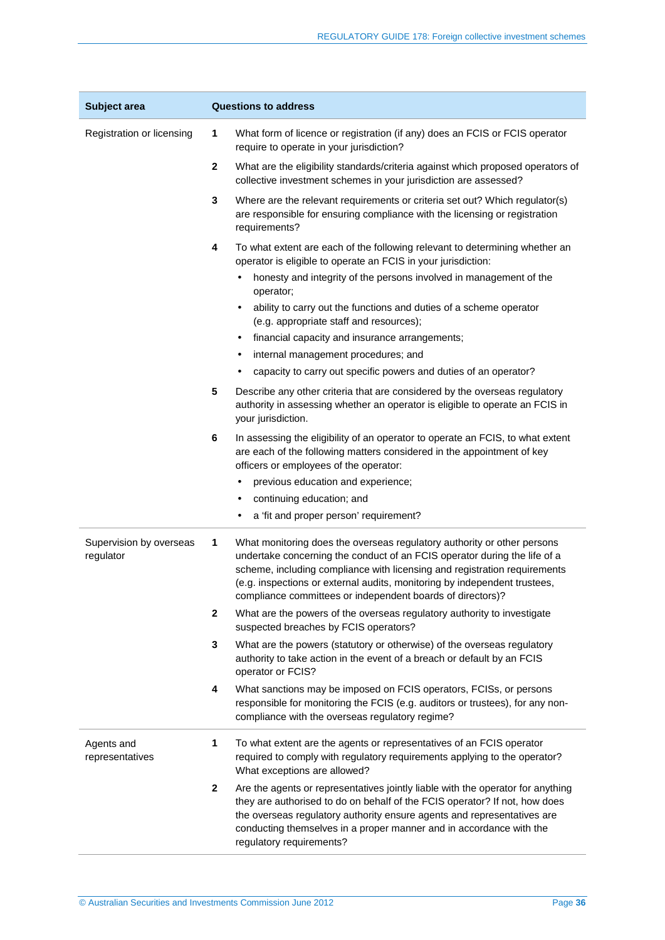| Subject area                         | <b>Questions to address</b> |                                                                                                                                                                                                                                                                                                                                                                              |  |
|--------------------------------------|-----------------------------|------------------------------------------------------------------------------------------------------------------------------------------------------------------------------------------------------------------------------------------------------------------------------------------------------------------------------------------------------------------------------|--|
| Registration or licensing            | 1                           | What form of licence or registration (if any) does an FCIS or FCIS operator<br>require to operate in your jurisdiction?                                                                                                                                                                                                                                                      |  |
|                                      | $\overline{2}$              | What are the eligibility standards/criteria against which proposed operators of<br>collective investment schemes in your jurisdiction are assessed?                                                                                                                                                                                                                          |  |
|                                      | 3                           | Where are the relevant requirements or criteria set out? Which regulator(s)<br>are responsible for ensuring compliance with the licensing or registration<br>requirements?                                                                                                                                                                                                   |  |
|                                      | 4                           | To what extent are each of the following relevant to determining whether an<br>operator is eligible to operate an FCIS in your jurisdiction:                                                                                                                                                                                                                                 |  |
|                                      |                             | honesty and integrity of the persons involved in management of the<br>$\bullet$<br>operator;                                                                                                                                                                                                                                                                                 |  |
|                                      |                             | ability to carry out the functions and duties of a scheme operator<br>$\bullet$<br>(e.g. appropriate staff and resources);                                                                                                                                                                                                                                                   |  |
|                                      |                             | financial capacity and insurance arrangements;<br>٠                                                                                                                                                                                                                                                                                                                          |  |
|                                      |                             | internal management procedures; and<br>٠                                                                                                                                                                                                                                                                                                                                     |  |
|                                      |                             | capacity to carry out specific powers and duties of an operator?                                                                                                                                                                                                                                                                                                             |  |
|                                      | 5                           | Describe any other criteria that are considered by the overseas regulatory<br>authority in assessing whether an operator is eligible to operate an FCIS in<br>your jurisdiction.                                                                                                                                                                                             |  |
|                                      | 6                           | In assessing the eligibility of an operator to operate an FCIS, to what extent<br>are each of the following matters considered in the appointment of key<br>officers or employees of the operator:                                                                                                                                                                           |  |
|                                      |                             | previous education and experience;<br>٠                                                                                                                                                                                                                                                                                                                                      |  |
|                                      |                             | continuing education; and<br>٠                                                                                                                                                                                                                                                                                                                                               |  |
|                                      |                             | a 'fit and proper person' requirement?<br>٠                                                                                                                                                                                                                                                                                                                                  |  |
| Supervision by overseas<br>regulator | 1                           | What monitoring does the overseas regulatory authority or other persons<br>undertake concerning the conduct of an FCIS operator during the life of a<br>scheme, including compliance with licensing and registration requirements<br>(e.g. inspections or external audits, monitoring by independent trustees,<br>compliance committees or independent boards of directors)? |  |
|                                      | $\mathbf{2}$                | What are the powers of the overseas regulatory authority to investigate<br>suspected breaches by FCIS operators?                                                                                                                                                                                                                                                             |  |
|                                      | 3                           | What are the powers (statutory or otherwise) of the overseas regulatory<br>authority to take action in the event of a breach or default by an FCIS<br>operator or FCIS?                                                                                                                                                                                                      |  |
|                                      | 4                           | What sanctions may be imposed on FCIS operators, FCISs, or persons<br>responsible for monitoring the FCIS (e.g. auditors or trustees), for any non-<br>compliance with the overseas regulatory regime?                                                                                                                                                                       |  |
| Agents and<br>representatives        | 1                           | To what extent are the agents or representatives of an FCIS operator<br>required to comply with regulatory requirements applying to the operator?<br>What exceptions are allowed?                                                                                                                                                                                            |  |
|                                      | $\mathbf{2}$                | Are the agents or representatives jointly liable with the operator for anything<br>they are authorised to do on behalf of the FCIS operator? If not, how does<br>the overseas regulatory authority ensure agents and representatives are<br>conducting themselves in a proper manner and in accordance with the<br>regulatory requirements?                                  |  |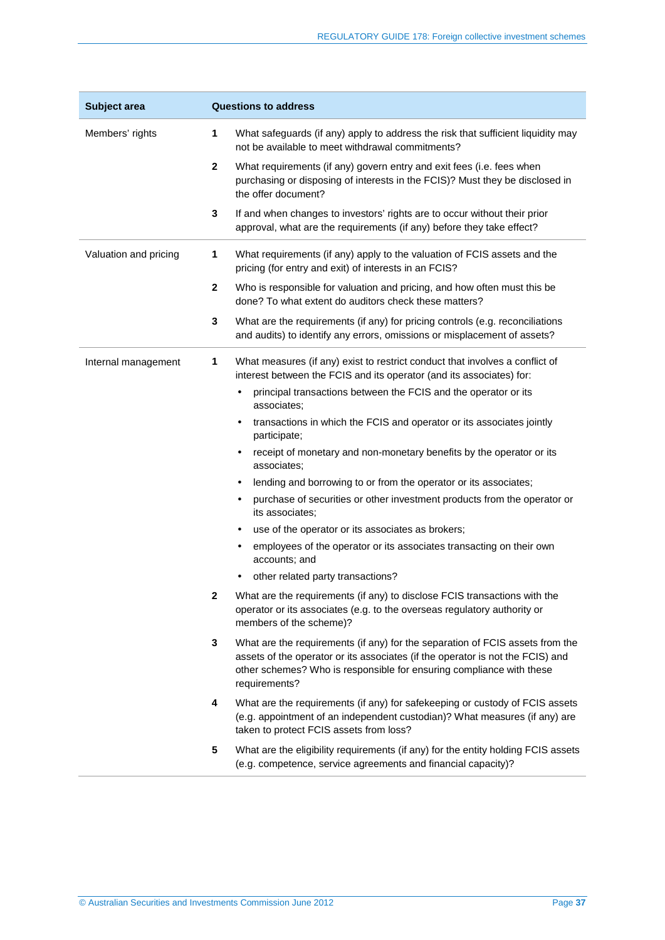| Subject area          | <b>Questions to address</b> |                                                                                                                                                                                                                                                          |  |
|-----------------------|-----------------------------|----------------------------------------------------------------------------------------------------------------------------------------------------------------------------------------------------------------------------------------------------------|--|
| Members' rights       | 1                           | What safeguards (if any) apply to address the risk that sufficient liquidity may<br>not be available to meet withdrawal commitments?                                                                                                                     |  |
|                       | $\mathbf{2}$                | What requirements (if any) govern entry and exit fees (i.e. fees when<br>purchasing or disposing of interests in the FCIS)? Must they be disclosed in<br>the offer document?                                                                             |  |
|                       | 3                           | If and when changes to investors' rights are to occur without their prior<br>approval, what are the requirements (if any) before they take effect?                                                                                                       |  |
| Valuation and pricing | 1                           | What requirements (if any) apply to the valuation of FCIS assets and the<br>pricing (for entry and exit) of interests in an FCIS?                                                                                                                        |  |
|                       | $\mathbf 2$                 | Who is responsible for valuation and pricing, and how often must this be<br>done? To what extent do auditors check these matters?                                                                                                                        |  |
|                       | 3                           | What are the requirements (if any) for pricing controls (e.g. reconciliations<br>and audits) to identify any errors, omissions or misplacement of assets?                                                                                                |  |
| Internal management   | 1                           | What measures (if any) exist to restrict conduct that involves a conflict of<br>interest between the FCIS and its operator (and its associates) for:                                                                                                     |  |
|                       |                             | principal transactions between the FCIS and the operator or its<br>associates;                                                                                                                                                                           |  |
|                       |                             | transactions in which the FCIS and operator or its associates jointly<br>participate;                                                                                                                                                                    |  |
|                       |                             | receipt of monetary and non-monetary benefits by the operator or its<br>٠<br>associates:                                                                                                                                                                 |  |
|                       |                             | lending and borrowing to or from the operator or its associates;                                                                                                                                                                                         |  |
|                       |                             | purchase of securities or other investment products from the operator or<br>٠<br>its associates;                                                                                                                                                         |  |
|                       |                             | use of the operator or its associates as brokers;                                                                                                                                                                                                        |  |
|                       |                             | employees of the operator or its associates transacting on their own<br>accounts; and                                                                                                                                                                    |  |
|                       |                             | other related party transactions?                                                                                                                                                                                                                        |  |
|                       | 2                           | What are the requirements (if any) to disclose FCIS transactions with the<br>operator or its associates (e.g. to the overseas regulatory authority or<br>members of the scheme)?                                                                         |  |
|                       | 3                           | What are the requirements (if any) for the separation of FCIS assets from the<br>assets of the operator or its associates (if the operator is not the FCIS) and<br>other schemes? Who is responsible for ensuring compliance with these<br>requirements? |  |
|                       | 4                           | What are the requirements (if any) for safekeeping or custody of FCIS assets<br>(e.g. appointment of an independent custodian)? What measures (if any) are<br>taken to protect FCIS assets from loss?                                                    |  |
|                       | 5                           | What are the eligibility requirements (if any) for the entity holding FCIS assets<br>(e.g. competence, service agreements and financial capacity)?                                                                                                       |  |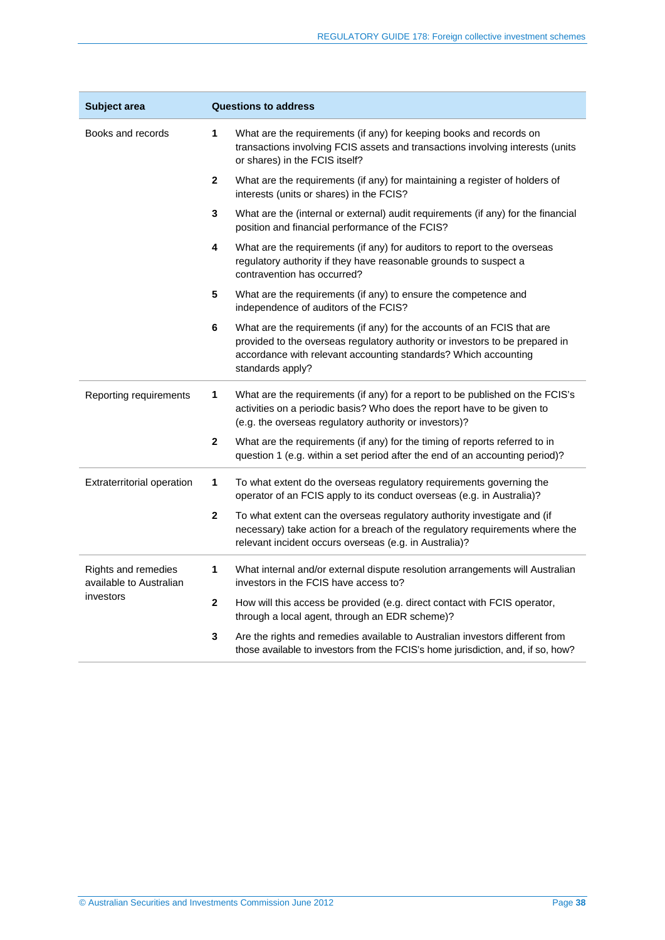| Subject area                                   | <b>Questions to address</b> |                                                                                                                                                                                                                                                |  |  |
|------------------------------------------------|-----------------------------|------------------------------------------------------------------------------------------------------------------------------------------------------------------------------------------------------------------------------------------------|--|--|
| Books and records                              | 1                           | What are the requirements (if any) for keeping books and records on<br>transactions involving FCIS assets and transactions involving interests (units<br>or shares) in the FCIS itself?                                                        |  |  |
|                                                | $\overline{\mathbf{2}}$     | What are the requirements (if any) for maintaining a register of holders of<br>interests (units or shares) in the FCIS?                                                                                                                        |  |  |
|                                                | 3                           | What are the (internal or external) audit requirements (if any) for the financial<br>position and financial performance of the FCIS?                                                                                                           |  |  |
|                                                | 4                           | What are the requirements (if any) for auditors to report to the overseas<br>regulatory authority if they have reasonable grounds to suspect a<br>contravention has occurred?                                                                  |  |  |
|                                                | 5                           | What are the requirements (if any) to ensure the competence and<br>independence of auditors of the FCIS?                                                                                                                                       |  |  |
|                                                | 6                           | What are the requirements (if any) for the accounts of an FCIS that are<br>provided to the overseas regulatory authority or investors to be prepared in<br>accordance with relevant accounting standards? Which accounting<br>standards apply? |  |  |
| Reporting requirements                         | 1                           | What are the requirements (if any) for a report to be published on the FCIS's<br>activities on a periodic basis? Who does the report have to be given to<br>(e.g. the overseas regulatory authority or investors)?                             |  |  |
|                                                | 2                           | What are the requirements (if any) for the timing of reports referred to in<br>question 1 (e.g. within a set period after the end of an accounting period)?                                                                                    |  |  |
| Extraterritorial operation                     | 1                           | To what extent do the overseas regulatory requirements governing the<br>operator of an FCIS apply to its conduct overseas (e.g. in Australia)?                                                                                                 |  |  |
|                                                | 2                           | To what extent can the overseas regulatory authority investigate and (if<br>necessary) take action for a breach of the regulatory requirements where the<br>relevant incident occurs overseas (e.g. in Australia)?                             |  |  |
| Rights and remedies<br>available to Australian | 1                           | What internal and/or external dispute resolution arrangements will Australian<br>investors in the FCIS have access to?                                                                                                                         |  |  |
| investors                                      | $\mathbf{2}$                | How will this access be provided (e.g. direct contact with FCIS operator,<br>through a local agent, through an EDR scheme)?                                                                                                                    |  |  |
|                                                | 3                           | Are the rights and remedies available to Australian investors different from<br>those available to investors from the FCIS's home jurisdiction, and, if so, how?                                                                               |  |  |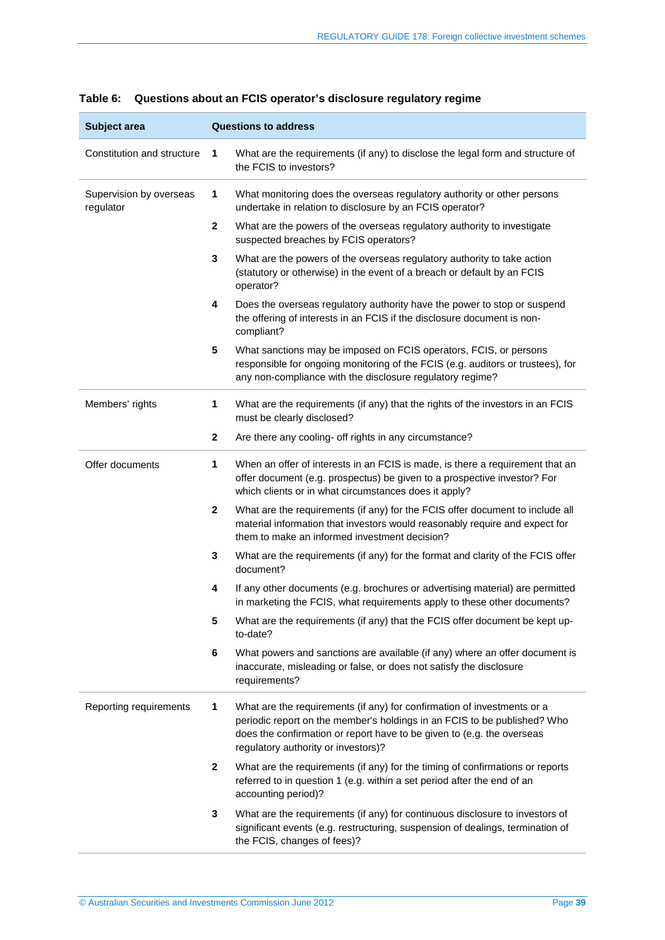| Subject area                         | <b>Questions to address</b>                                                                                                                                                                                                                                               |  |
|--------------------------------------|---------------------------------------------------------------------------------------------------------------------------------------------------------------------------------------------------------------------------------------------------------------------------|--|
| Constitution and structure           | 1<br>What are the requirements (if any) to disclose the legal form and structure of<br>the FCIS to investors?                                                                                                                                                             |  |
| Supervision by overseas<br>regulator | 1<br>What monitoring does the overseas regulatory authority or other persons<br>undertake in relation to disclosure by an FCIS operator?                                                                                                                                  |  |
|                                      | 2<br>What are the powers of the overseas regulatory authority to investigate<br>suspected breaches by FCIS operators?                                                                                                                                                     |  |
|                                      | 3<br>What are the powers of the overseas regulatory authority to take action<br>(statutory or otherwise) in the event of a breach or default by an FCIS<br>operator?                                                                                                      |  |
|                                      | 4<br>Does the overseas regulatory authority have the power to stop or suspend<br>the offering of interests in an FCIS if the disclosure document is non-<br>compliant?                                                                                                    |  |
|                                      | 5<br>What sanctions may be imposed on FCIS operators, FCIS, or persons<br>responsible for ongoing monitoring of the FCIS (e.g. auditors or trustees), for<br>any non-compliance with the disclosure regulatory regime?                                                    |  |
| Members' rights                      | 1<br>What are the requirements (if any) that the rights of the investors in an FCIS<br>must be clearly disclosed?                                                                                                                                                         |  |
|                                      | $\mathbf 2$<br>Are there any cooling- off rights in any circumstance?                                                                                                                                                                                                     |  |
| Offer documents                      | When an offer of interests in an FCIS is made, is there a requirement that an<br>1<br>offer document (e.g. prospectus) be given to a prospective investor? For<br>which clients or in what circumstances does it apply?                                                   |  |
|                                      | $\mathbf 2$<br>What are the requirements (if any) for the FCIS offer document to include all<br>material information that investors would reasonably require and expect for<br>them to make an informed investment decision?                                              |  |
|                                      | 3<br>What are the requirements (if any) for the format and clarity of the FCIS offer<br>document?                                                                                                                                                                         |  |
|                                      | If any other documents (e.g. brochures or advertising material) are permitted<br>4<br>in marketing the FCIS, what requirements apply to these other documents?                                                                                                            |  |
|                                      | What are the requirements (if any) that the FCIS offer document be kept up-<br>5<br>to-date?                                                                                                                                                                              |  |
|                                      | 6<br>What powers and sanctions are available (if any) where an offer document is<br>inaccurate, misleading or false, or does not satisfy the disclosure<br>requirements?                                                                                                  |  |
| Reporting requirements               | What are the requirements (if any) for confirmation of investments or a<br>1<br>periodic report on the member's holdings in an FCIS to be published? Who<br>does the confirmation or report have to be given to (e.g. the overseas<br>regulatory authority or investors)? |  |
|                                      | $\mathbf 2$<br>What are the requirements (if any) for the timing of confirmations or reports<br>referred to in question 1 (e.g. within a set period after the end of an<br>accounting period)?                                                                            |  |
|                                      | 3<br>What are the requirements (if any) for continuous disclosure to investors of<br>significant events (e.g. restructuring, suspension of dealings, termination of<br>the FCIS, changes of fees)?                                                                        |  |

#### <span id="page-38-0"></span>**Table 6: Questions about an FCIS operator's disclosure regulatory regime**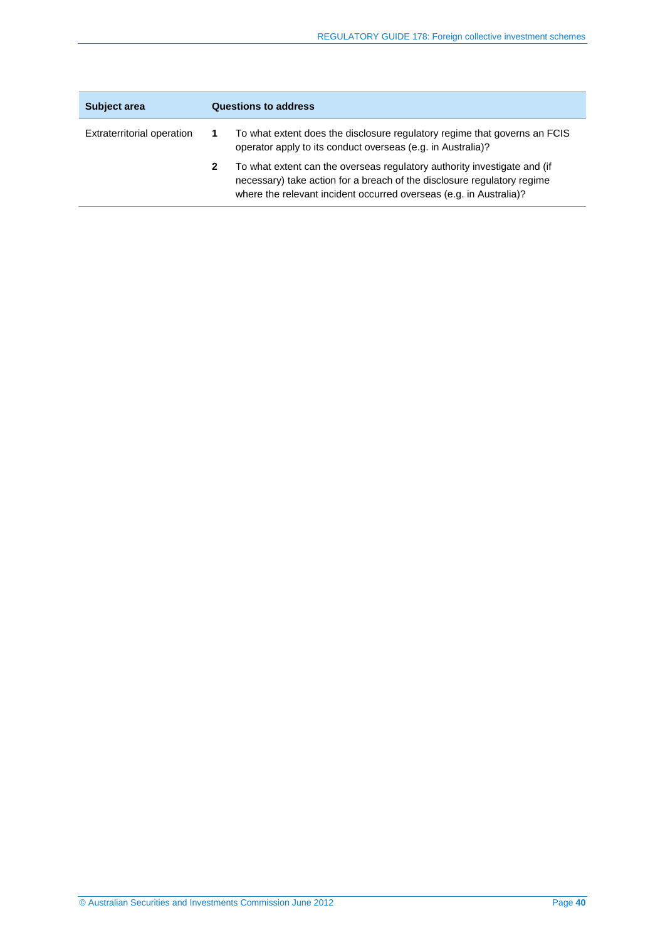| <b>Subject area</b>        | <b>Questions to address</b> |                                                                                                                                                                                                                           |
|----------------------------|-----------------------------|---------------------------------------------------------------------------------------------------------------------------------------------------------------------------------------------------------------------------|
| Extraterritorial operation |                             | To what extent does the disclosure regulatory regime that governs an FCIS<br>operator apply to its conduct overseas (e.g. in Australia)?                                                                                  |
|                            | 2                           | To what extent can the overseas regulatory authority investigate and (if<br>necessary) take action for a breach of the disclosure regulatory regime<br>where the relevant incident occurred overseas (e.g. in Australia)? |

 $\overline{a}$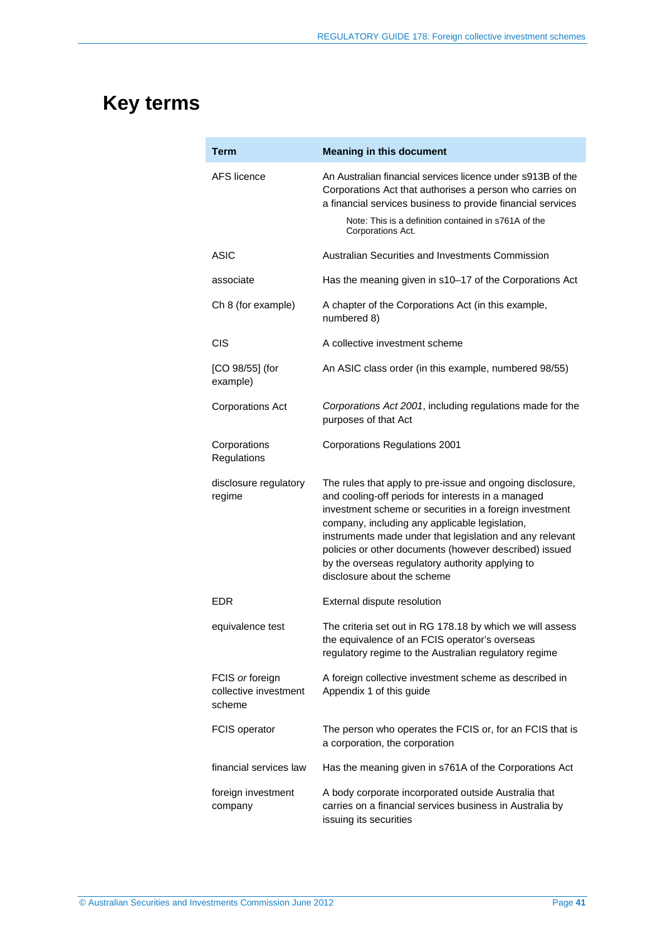## <span id="page-40-0"></span>**Key terms**

| Term                                               | <b>Meaning in this document</b>                                                                                                                                                                                                                                                                                                                                                                                                       |
|----------------------------------------------------|---------------------------------------------------------------------------------------------------------------------------------------------------------------------------------------------------------------------------------------------------------------------------------------------------------------------------------------------------------------------------------------------------------------------------------------|
| AFS licence                                        | An Australian financial services licence under s913B of the<br>Corporations Act that authorises a person who carries on<br>a financial services business to provide financial services<br>Note: This is a definition contained in s761A of the<br>Corporations Act.                                                                                                                                                                   |
| <b>ASIC</b>                                        | Australian Securities and Investments Commission                                                                                                                                                                                                                                                                                                                                                                                      |
| associate                                          | Has the meaning given in s10-17 of the Corporations Act                                                                                                                                                                                                                                                                                                                                                                               |
| Ch 8 (for example)                                 | A chapter of the Corporations Act (in this example,<br>numbered 8)                                                                                                                                                                                                                                                                                                                                                                    |
| <b>CIS</b>                                         | A collective investment scheme                                                                                                                                                                                                                                                                                                                                                                                                        |
| $[CO 98/55]$ (for<br>example)                      | An ASIC class order (in this example, numbered 98/55)                                                                                                                                                                                                                                                                                                                                                                                 |
| <b>Corporations Act</b>                            | Corporations Act 2001, including regulations made for the<br>purposes of that Act                                                                                                                                                                                                                                                                                                                                                     |
| Corporations<br>Regulations                        | <b>Corporations Regulations 2001</b>                                                                                                                                                                                                                                                                                                                                                                                                  |
| disclosure regulatory<br>regime                    | The rules that apply to pre-issue and ongoing disclosure,<br>and cooling-off periods for interests in a managed<br>investment scheme or securities in a foreign investment<br>company, including any applicable legislation,<br>instruments made under that legislation and any relevant<br>policies or other documents (however described) issued<br>by the overseas regulatory authority applying to<br>disclosure about the scheme |
| <b>EDR</b>                                         | External dispute resolution                                                                                                                                                                                                                                                                                                                                                                                                           |
| equivalence test                                   | The criteria set out in RG 178.18 by which we will assess<br>the equivalence of an FCIS operator's overseas<br>regulatory regime to the Australian regulatory regime                                                                                                                                                                                                                                                                  |
| FCIS or foreign<br>collective investment<br>scheme | A foreign collective investment scheme as described in<br>Appendix 1 of this guide                                                                                                                                                                                                                                                                                                                                                    |
| <b>FCIS operator</b>                               | The person who operates the FCIS or, for an FCIS that is<br>a corporation, the corporation                                                                                                                                                                                                                                                                                                                                            |
| financial services law                             | Has the meaning given in s761A of the Corporations Act                                                                                                                                                                                                                                                                                                                                                                                |
| foreign investment<br>company                      | A body corporate incorporated outside Australia that<br>carries on a financial services business in Australia by<br>issuing its securities                                                                                                                                                                                                                                                                                            |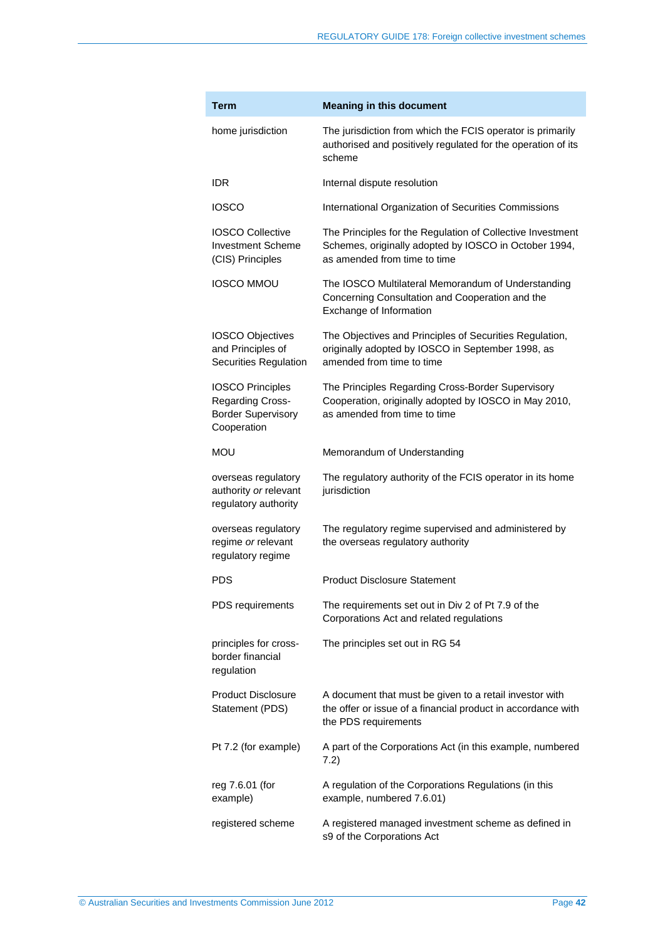| <b>Term</b>                                                                             | <b>Meaning in this document</b>                                                                                                                     |
|-----------------------------------------------------------------------------------------|-----------------------------------------------------------------------------------------------------------------------------------------------------|
| home jurisdiction                                                                       | The jurisdiction from which the FCIS operator is primarily<br>authorised and positively regulated for the operation of its<br>scheme                |
| IDR                                                                                     | Internal dispute resolution                                                                                                                         |
| <b>IOSCO</b>                                                                            | International Organization of Securities Commissions                                                                                                |
| <b>IOSCO Collective</b><br><b>Investment Scheme</b><br>(CIS) Principles                 | The Principles for the Regulation of Collective Investment<br>Schemes, originally adopted by IOSCO in October 1994,<br>as amended from time to time |
| <b>IOSCO MMOU</b>                                                                       | The IOSCO Multilateral Memorandum of Understanding<br>Concerning Consultation and Cooperation and the<br>Exchange of Information                    |
| <b>IOSCO Objectives</b><br>and Principles of<br><b>Securities Regulation</b>            | The Objectives and Principles of Securities Regulation,<br>originally adopted by IOSCO in September 1998, as<br>amended from time to time           |
| <b>IOSCO Principles</b><br>Regarding Cross-<br><b>Border Supervisory</b><br>Cooperation | The Principles Regarding Cross-Border Supervisory<br>Cooperation, originally adopted by IOSCO in May 2010,<br>as amended from time to time          |
| mou                                                                                     | Memorandum of Understanding                                                                                                                         |
| overseas regulatory<br>authority or relevant<br>regulatory authority                    | The regulatory authority of the FCIS operator in its home<br>jurisdiction                                                                           |
| overseas regulatory<br>regime or relevant<br>regulatory regime                          | The regulatory regime supervised and administered by<br>the overseas regulatory authority                                                           |
| PDS                                                                                     | <b>Product Disclosure Statement</b>                                                                                                                 |
| PDS requirements                                                                        | The requirements set out in Div 2 of Pt 7.9 of the<br>Corporations Act and related regulations                                                      |
| principles for cross-<br>border financial<br>regulation                                 | The principles set out in RG 54                                                                                                                     |
| <b>Product Disclosure</b><br>Statement (PDS)                                            | A document that must be given to a retail investor with<br>the offer or issue of a financial product in accordance with<br>the PDS requirements     |
| Pt 7.2 (for example)                                                                    | A part of the Corporations Act (in this example, numbered<br>7.2)                                                                                   |
| reg 7.6.01 (for<br>example)                                                             | A regulation of the Corporations Regulations (in this<br>example, numbered 7.6.01)                                                                  |
| registered scheme                                                                       | A registered managed investment scheme as defined in<br>s9 of the Corporations Act                                                                  |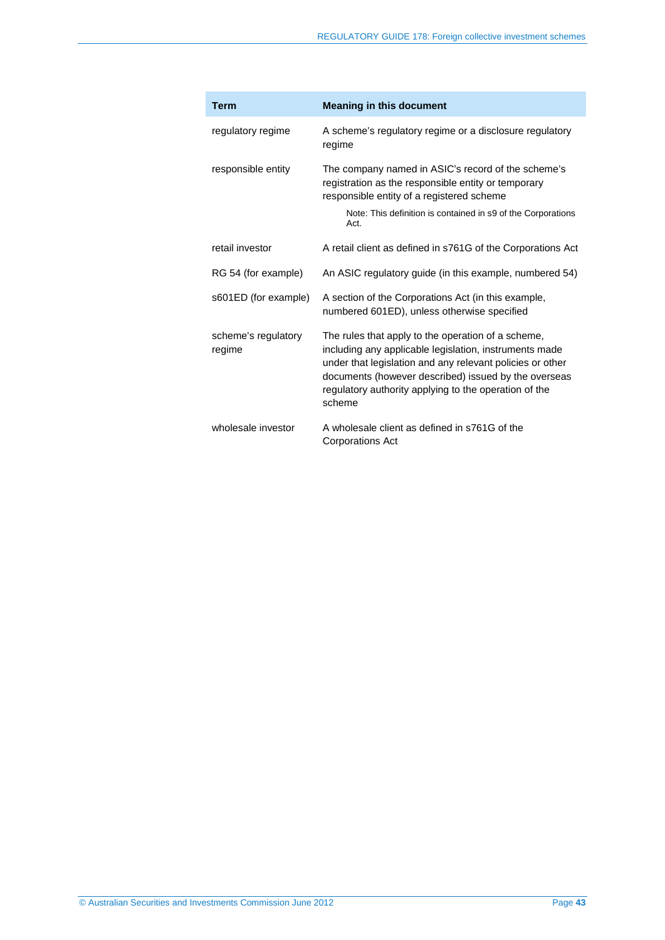| <b>Term</b>                   | <b>Meaning in this document</b>                                                                                                                                                                                                                                                                      |
|-------------------------------|------------------------------------------------------------------------------------------------------------------------------------------------------------------------------------------------------------------------------------------------------------------------------------------------------|
| regulatory regime             | A scheme's regulatory regime or a disclosure regulatory<br>regime                                                                                                                                                                                                                                    |
| responsible entity            | The company named in ASIC's record of the scheme's<br>registration as the responsible entity or temporary<br>responsible entity of a registered scheme                                                                                                                                               |
|                               | Note: This definition is contained in s9 of the Corporations<br>Act.                                                                                                                                                                                                                                 |
| retail investor               | A retail client as defined in s761G of the Corporations Act                                                                                                                                                                                                                                          |
| RG 54 (for example)           | An ASIC regulatory guide (in this example, numbered 54)                                                                                                                                                                                                                                              |
| s601ED (for example)          | A section of the Corporations Act (in this example,<br>numbered 601ED), unless otherwise specified                                                                                                                                                                                                   |
| scheme's regulatory<br>regime | The rules that apply to the operation of a scheme,<br>including any applicable legislation, instruments made<br>under that legislation and any relevant policies or other<br>documents (however described) issued by the overseas<br>regulatory authority applying to the operation of the<br>scheme |
| wholesale investor            | A wholesale client as defined in s761G of the<br><b>Corporations Act</b>                                                                                                                                                                                                                             |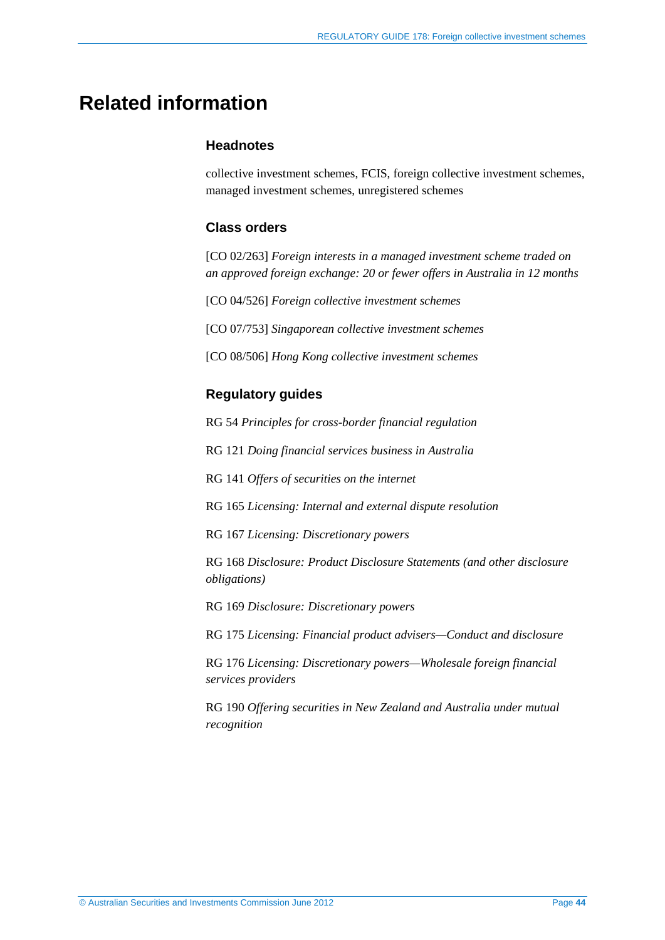## <span id="page-43-0"></span>**Related information**

#### **Headnotes**

collective investment schemes, FCIS, foreign collective investment schemes, managed investment schemes, unregistered schemes

#### **Class orders**

[CO 02/263] *Foreign interests in a managed investment scheme traded on an approved foreign exchange: 20 or fewer offers in Australia in 12 months*

[CO 04/526] *Foreign collective investment schemes*

[CO 07/753] *Singaporean collective investment schemes*

[CO 08/506] *Hong Kong collective investment schemes*

#### **Regulatory guides**

RG 54 *Principles for cross-border financial regulation*

RG 121 *Doing financial services business in Australia*

RG 141 *Offers of securities on the internet*

RG 165 *Licensing: Internal and external dispute resolution*

RG 167 *Licensing: Discretionary powers*

RG 168 *Disclosure: Product Disclosure Statements (and other disclosure obligations)* 

RG 169 *Disclosure: Discretionary powers*

RG 175 *Licensing: Financial product advisers—Conduct and disclosure*

RG 176 *Licensing: Discretionary powers—Wholesale foreign financial services providers*

RG 190 *Offering securities in New Zealand and Australia under mutual recognition*